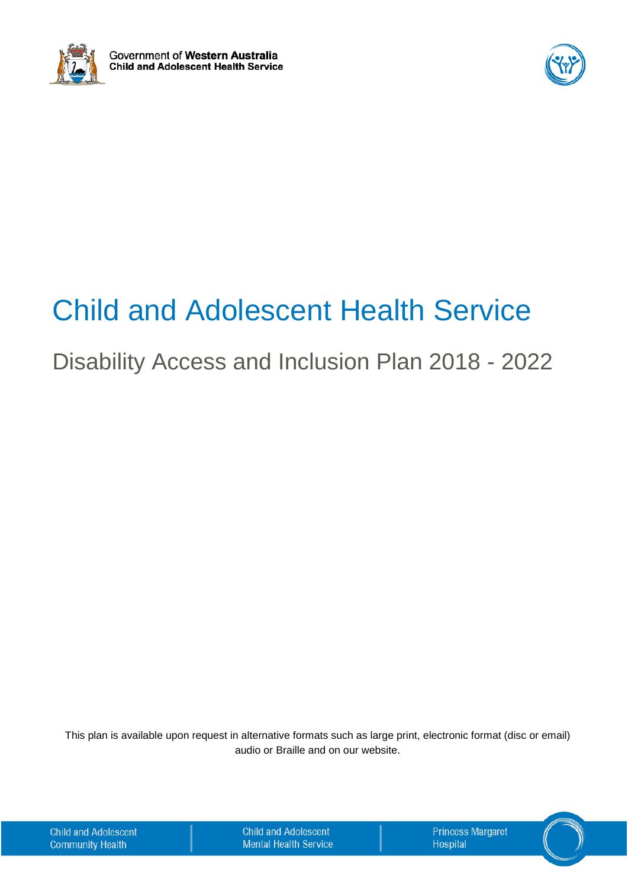



# Child and Adolescent Health Service

## Disability Access and Inclusion Plan 2018 - 2022

This plan is available upon request in alternative formats such as large print, electronic format (disc or email) audio or Braille and on our website.

| <b>Child and Adolescent</b> |  |  |
|-----------------------------|--|--|
| <b>Community Health</b>     |  |  |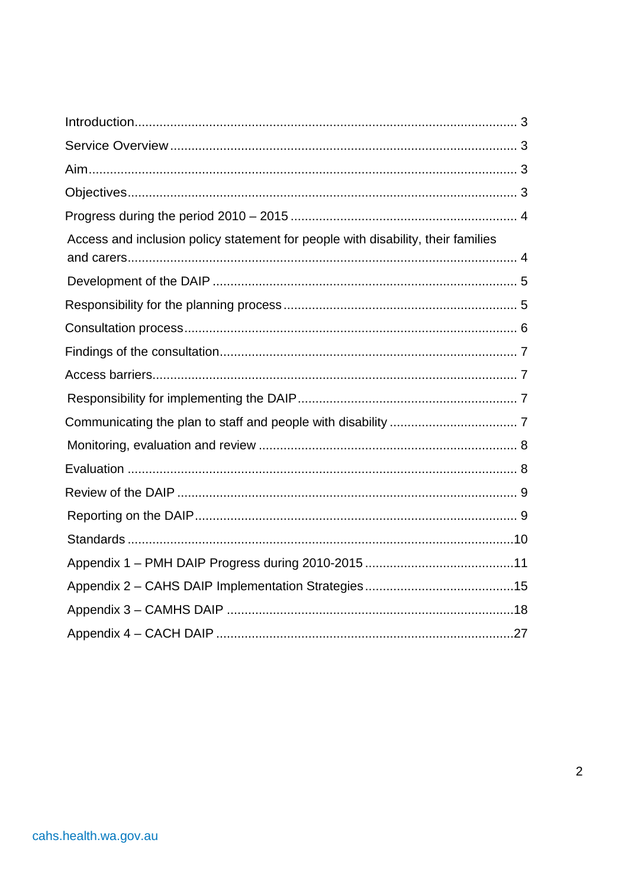| Access and inclusion policy statement for people with disability, their families |
|----------------------------------------------------------------------------------|
|                                                                                  |
|                                                                                  |
|                                                                                  |
|                                                                                  |
|                                                                                  |
|                                                                                  |
|                                                                                  |
|                                                                                  |
|                                                                                  |
|                                                                                  |
|                                                                                  |
|                                                                                  |
|                                                                                  |
|                                                                                  |
|                                                                                  |
|                                                                                  |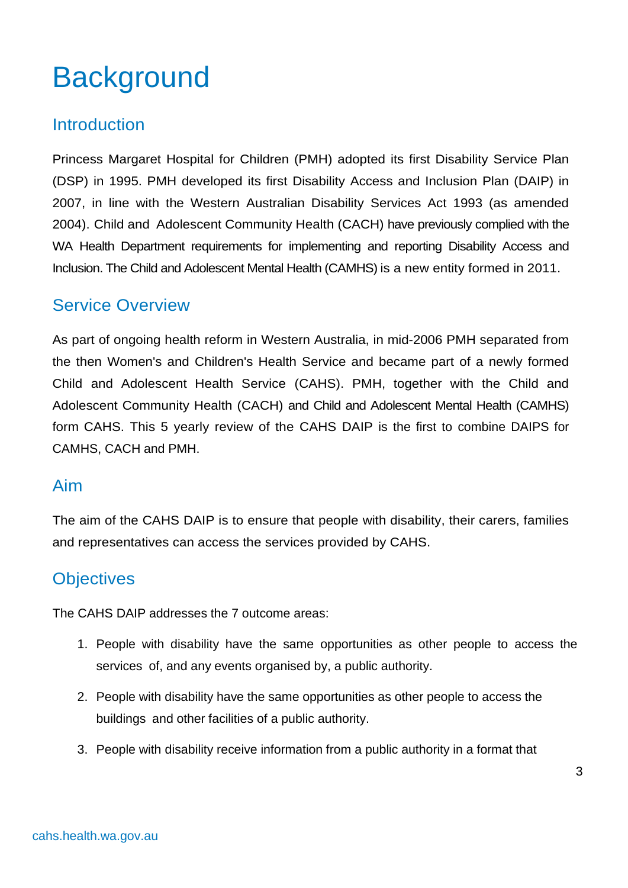# **Background**

### <span id="page-2-0"></span>Introduction

Princess Margaret Hospital for Children (PMH) adopted its first Disability Service Plan (DSP) in 1995. PMH developed its first Disability Access and Inclusion Plan (DAIP) in 2007, in line with the Western Australian Disability Services Act 1993 (as amended 2004). Child and Adolescent Community Health (CACH) have previously complied with the WA Health Department requirements for implementing and reporting Disability Access and Inclusion. The Child and Adolescent Mental Health (CAMHS) is a new entity formed in 2011.

### <span id="page-2-1"></span>Service Overview

As part of ongoing health reform in Western Australia, in mid-2006 PMH separated from the then Women's and Children's Health Service and became part of a newly formed Child and Adolescent Health Service (CAHS). PMH, together with the Child and Adolescent Community Health (CACH) and Child and Adolescent Mental Health (CAMHS) form CAHS. This 5 yearly review of the CAHS DAIP is the first to combine DAIPS for CAMHS, CACH and PMH.

#### <span id="page-2-2"></span>Aim

The aim of the CAHS DAIP is to ensure that people with disability, their carers, families and representatives can access the services provided by CAHS.

### <span id="page-2-3"></span>**Objectives**

The CAHS DAIP addresses the 7 outcome areas:

- 1. People with disability have the same opportunities as other people to access the services of, and any events organised by, a public authority.
- 2. People with disability have the same opportunities as other people to access the buildings and other facilities of a public authority.
- 3. People with disability receive information from a public authority in a format that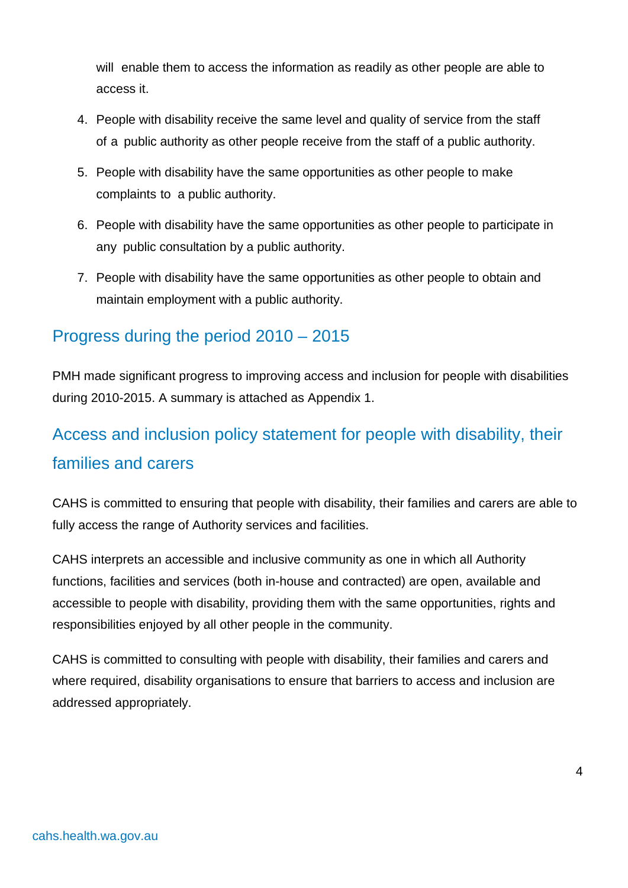will enable them to access the information as readily as other people are able to access it.

- 4. People with disability receive the same level and quality of service from the staff of a public authority as other people receive from the staff of a public authority.
- 5. People with disability have the same opportunities as other people to make complaints to a public authority.
- 6. People with disability have the same opportunities as other people to participate in any public consultation by a public authority.
- 7. People with disability have the same opportunities as other people to obtain and maintain employment with a public authority.

## <span id="page-3-0"></span>Progress during the period 2010 – 2015

PMH made significant progress to improving access and inclusion for people with disabilities during 2010-2015. A summary is attached as Appendix 1.

## <span id="page-3-1"></span>Access and inclusion policy statement for people with disability, their families and carers

CAHS is committed to ensuring that people with disability, their families and carers are able to fully access the range of Authority services and facilities.

CAHS interprets an accessible and inclusive community as one in which all Authority functions, facilities and services (both in-house and contracted) are open, available and accessible to people with disability, providing them with the same opportunities, rights and responsibilities enjoyed by all other people in the community.

CAHS is committed to consulting with people with disability, their families and carers and where required, disability organisations to ensure that barriers to access and inclusion are addressed appropriately.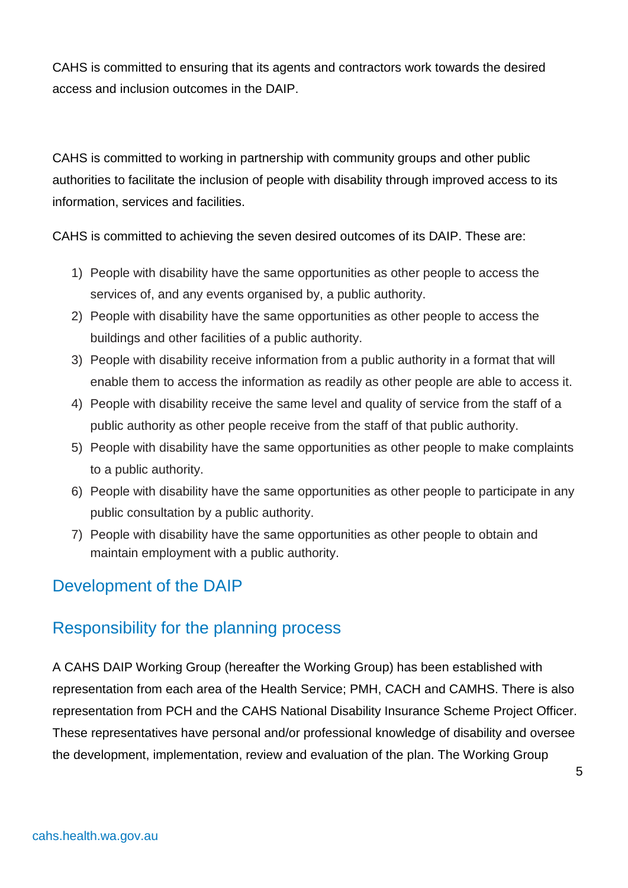CAHS is committed to ensuring that its agents and contractors work towards the desired access and inclusion outcomes in the DAIP.

CAHS is committed to working in partnership with community groups and other public authorities to facilitate the inclusion of people with disability through improved access to its information, services and facilities.

CAHS is committed to achieving the seven desired outcomes of its DAIP. These are:

- 1) People with disability have the same opportunities as other people to access the services of, and any events organised by, a public authority.
- 2) People with disability have the same opportunities as other people to access the buildings and other facilities of a public authority.
- 3) People with disability receive information from a public authority in a format that will enable them to access the information as readily as other people are able to access it.
- 4) People with disability receive the same level and quality of service from the staff of a public authority as other people receive from the staff of that public authority.
- 5) People with disability have the same opportunities as other people to make complaints to a public authority.
- 6) People with disability have the same opportunities as other people to participate in any public consultation by a public authority.
- 7) People with disability have the same opportunities as other people to obtain and maintain employment with a public authority.

## <span id="page-4-0"></span>Development of the DAIP

### <span id="page-4-1"></span>Responsibility for the planning process

A CAHS DAIP Working Group (hereafter the Working Group) has been established with representation from each area of the Health Service; PMH, CACH and CAMHS. There is also representation from PCH and the CAHS National Disability Insurance Scheme Project Officer. These representatives have personal and/or professional knowledge of disability and oversee the development, implementation, review and evaluation of the plan. The Working Group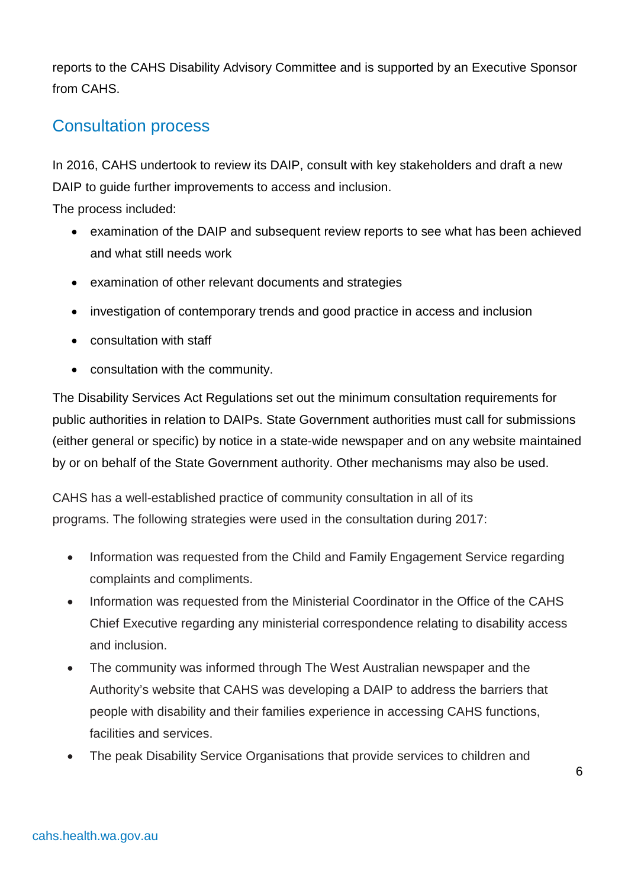reports to the CAHS Disability Advisory Committee and is supported by an Executive Sponsor from CAHS.

## <span id="page-5-0"></span>Consultation process

In 2016, CAHS undertook to review its DAIP, consult with key stakeholders and draft a new DAIP to guide further improvements to access and inclusion.

The process included:

- examination of the DAIP and subsequent review reports to see what has been achieved and what still needs work
- examination of other relevant documents and strategies
- investigation of contemporary trends and good practice in access and inclusion
- consultation with staff
- consultation with the community.

The Disability Services Act Regulations set out the minimum consultation requirements for public authorities in relation to DAIPs. State Government authorities must call for submissions (either general or specific) by notice in a state-wide newspaper and on any website maintained by or on behalf of the State Government authority. Other mechanisms may also be used.

CAHS has a well-established practice of community consultation in all of its programs. The following strategies were used in the consultation during 2017:

- Information was requested from the Child and Family Engagement Service regarding complaints and compliments.
- Information was requested from the Ministerial Coordinator in the Office of the CAHS Chief Executive regarding any ministerial correspondence relating to disability access and inclusion.
- The community was informed through The West Australian newspaper and the Authority's website that CAHS was developing a DAIP to address the barriers that people with disability and their families experience in accessing CAHS functions, facilities and services.
- The peak Disability Service Organisations that provide services to children and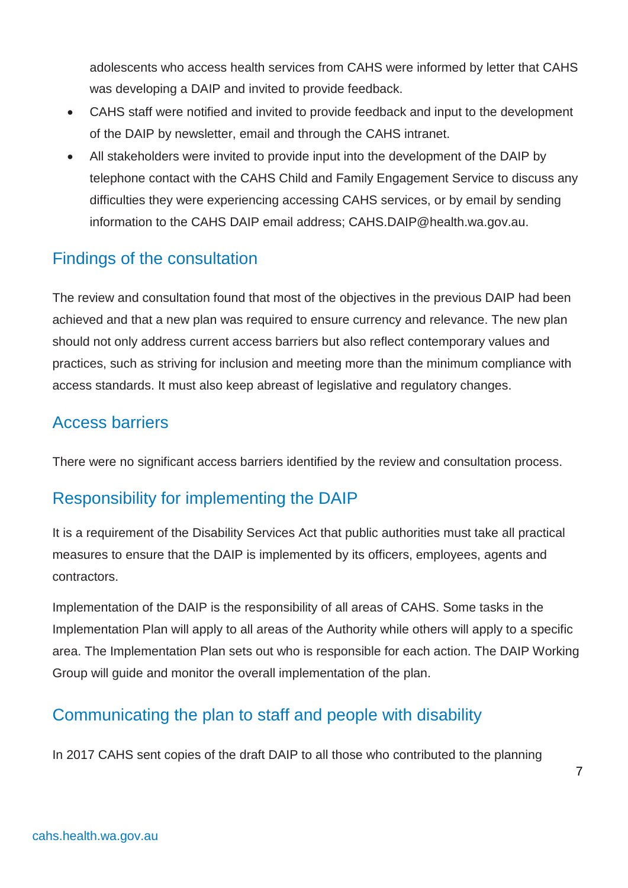adolescents who access health services from CAHS were informed by letter that CAHS was developing a DAIP and invited to provide feedback.

- CAHS staff were notified and invited to provide feedback and input to the development of the DAIP by newsletter, email and through the CAHS intranet.
- All stakeholders were invited to provide input into the development of the DAIP by telephone contact with the CAHS Child and Family Engagement Service to discuss any difficulties they were experiencing accessing CAHS services, or by email by sending information to the CAHS DAIP email address; CAHS.DAIP@health.wa.gov.au.

## <span id="page-6-0"></span>Findings of the consultation

The review and consultation found that most of the objectives in the previous DAIP had been achieved and that a new plan was required to ensure currency and relevance. The new plan should not only address current access barriers but also reflect contemporary values and practices, such as striving for inclusion and meeting more than the minimum compliance with access standards. It must also keep abreast of legislative and regulatory changes.

### <span id="page-6-1"></span>Access barriers

There were no significant access barriers identified by the review and consultation process.

## <span id="page-6-2"></span>Responsibility for implementing the DAIP

It is a requirement of the Disability Services Act that public authorities must take all practical measures to ensure that the DAIP is implemented by its officers, employees, agents and contractors.

Implementation of the DAIP is the responsibility of all areas of CAHS. Some tasks in the Implementation Plan will apply to all areas of the Authority while others will apply to a specific area. The Implementation Plan sets out who is responsible for each action. The DAIP Working Group will guide and monitor the overall implementation of the plan.

## <span id="page-6-3"></span>Communicating the plan to staff and people with disability

In 2017 CAHS sent copies of the draft DAIP to all those who contributed to the planning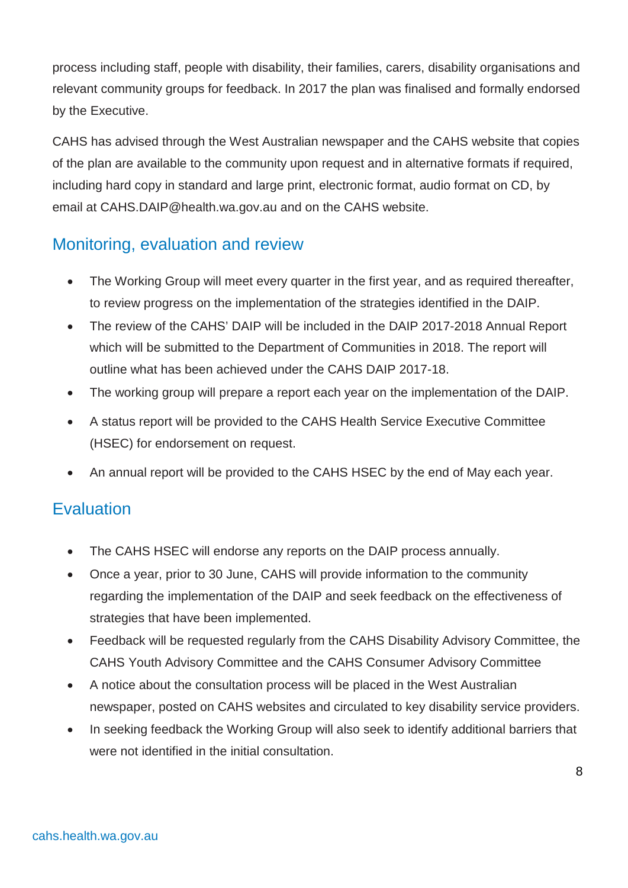process including staff, people with disability, their families, carers, disability organisations and relevant community groups for feedback. In 2017 the plan was finalised and formally endorsed by the Executive.

CAHS has advised through the West Australian newspaper and the CAHS website that copies of the plan are available to the community upon request and in alternative formats if required, including hard copy in standard and large print, electronic format, audio format on CD, by email at CAHS.DAIP@health.wa.gov.au and on the CAHS website.

## <span id="page-7-0"></span>Monitoring, evaluation and review

- The Working Group will meet every quarter in the first year, and as required thereafter, to review progress on the implementation of the strategies identified in the DAIP.
- The review of the CAHS' DAIP will be included in the DAIP 2017-2018 Annual Report which will be submitted to the Department of Communities in 2018. The report will outline what has been achieved under the CAHS DAIP 2017-18.
- The working group will prepare a report each year on the implementation of the DAIP.
- A status report will be provided to the CAHS Health Service Executive Committee (HSEC) for endorsement on request.
- An annual report will be provided to the CAHS HSEC by the end of May each year.

## <span id="page-7-1"></span>**Evaluation**

- The CAHS HSEC will endorse any reports on the DAIP process annually.
- Once a year, prior to 30 June, CAHS will provide information to the community regarding the implementation of the DAIP and seek feedback on the effectiveness of strategies that have been implemented.
- Feedback will be requested regularly from the CAHS Disability Advisory Committee, the CAHS Youth Advisory Committee and the CAHS Consumer Advisory Committee
- A notice about the consultation process will be placed in the West Australian newspaper, posted on CAHS websites and circulated to key disability service providers.
- In seeking feedback the Working Group will also seek to identify additional barriers that were not identified in the initial consultation.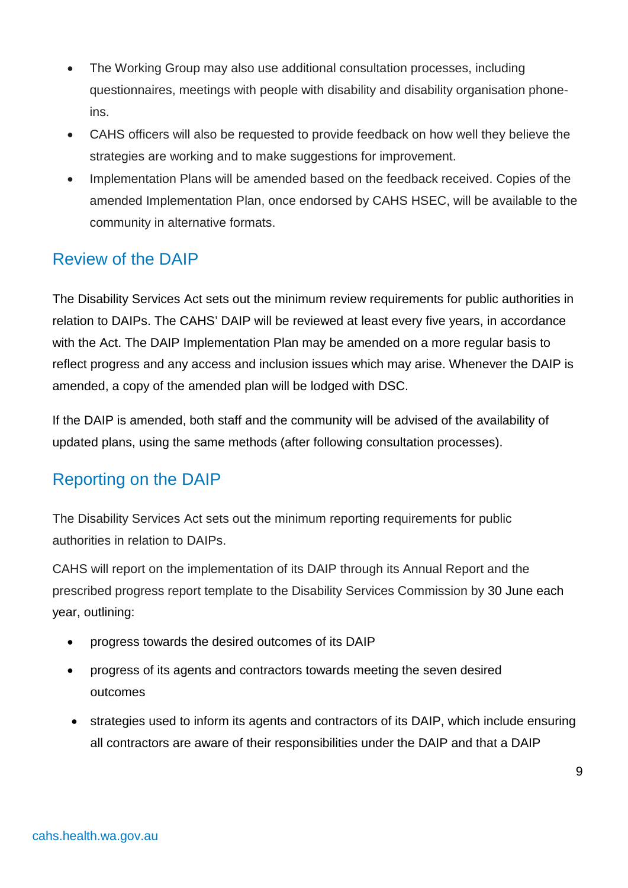- The Working Group may also use additional consultation processes, including questionnaires, meetings with people with disability and disability organisation phoneins.
- CAHS officers will also be requested to provide feedback on how well they believe the strategies are working and to make suggestions for improvement.
- Implementation Plans will be amended based on the feedback received. Copies of the amended Implementation Plan, once endorsed by CAHS HSEC, will be available to the community in alternative formats.

## <span id="page-8-0"></span>Review of the DAIP

The Disability Services Act sets out the minimum review requirements for public authorities in relation to DAIPs. The CAHS' DAIP will be reviewed at least every five years, in accordance with the Act. The DAIP Implementation Plan may be amended on a more regular basis to reflect progress and any access and inclusion issues which may arise. Whenever the DAIP is amended, a copy of the amended plan will be lodged with DSC.

If the DAIP is amended, both staff and the community will be advised of the availability of updated plans, using the same methods (after following consultation processes).

## <span id="page-8-1"></span>Reporting on the DAIP

The Disability Services Act sets out the minimum reporting requirements for public authorities in relation to DAIPs.

CAHS will report on the implementation of its DAIP through its Annual Report and the prescribed progress report template to the Disability Services Commission by 30 June each year, outlining:

- progress towards the desired outcomes of its DAIP
- progress of its agents and contractors towards meeting the seven desired outcomes
- strategies used to inform its agents and contractors of its DAIP, which include ensuring all contractors are aware of their responsibilities under the DAIP and that a DAIP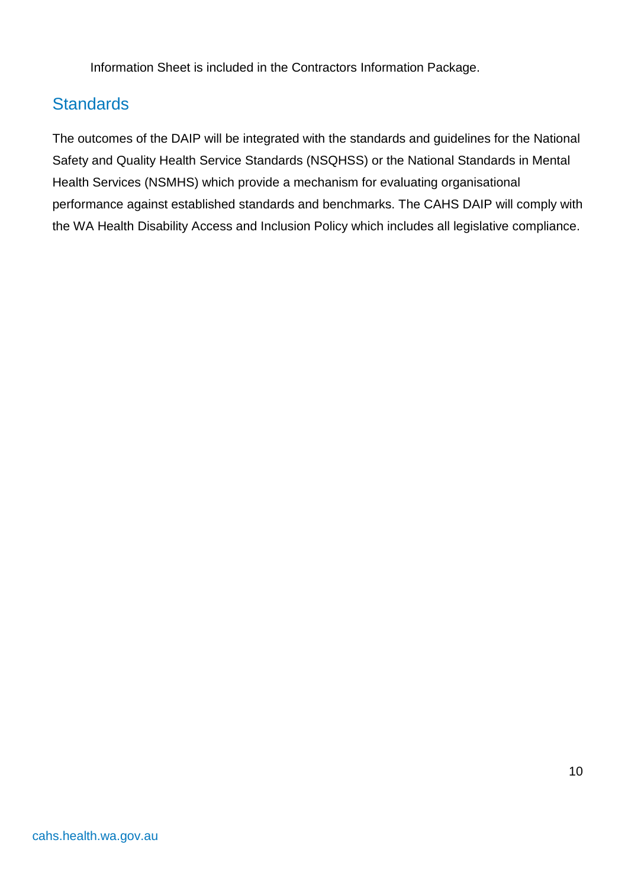Information Sheet is included in the Contractors Information Package.

## <span id="page-9-0"></span>**Standards**

The outcomes of the DAIP will be integrated with the standards and guidelines for the National Safety and Quality Health Service Standards (NSQHSS) or the National Standards in Mental Health Services (NSMHS) which provide a mechanism for evaluating organisational performance against established standards and benchmarks. The CAHS DAIP will comply with the WA Health Disability Access and Inclusion Policy which includes all legislative compliance.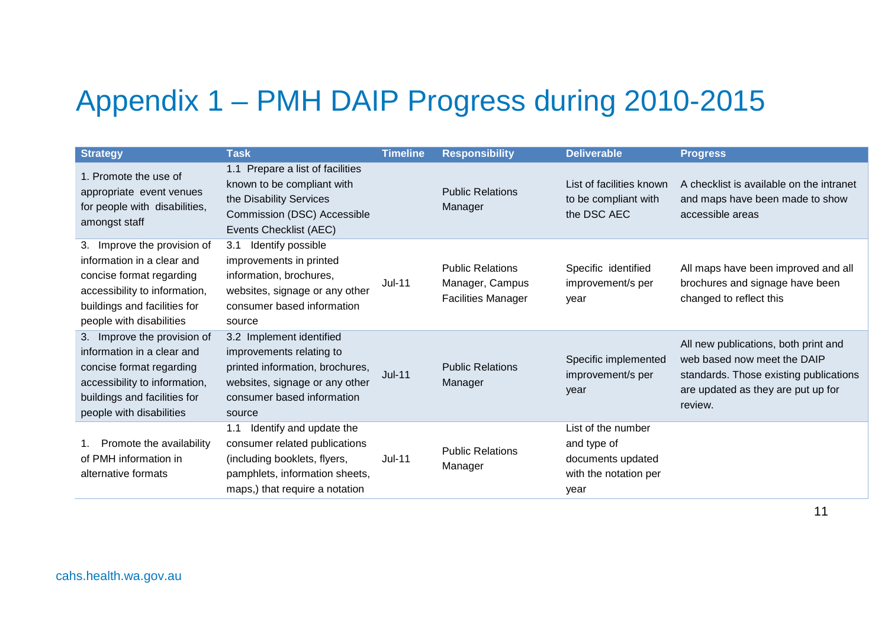# Appendix 1 – PMH DAIP Progress during 2010-2015

<span id="page-10-0"></span>

| <b>Strategy</b>                                                                                                                                                                       | <b>Task</b>                                                                                                                                                         | <b>Timeline</b> | <b>Responsibility</b>                                                   | <b>Deliverable</b>                                                                      | <b>Progress</b>                                                                                                                                                |
|---------------------------------------------------------------------------------------------------------------------------------------------------------------------------------------|---------------------------------------------------------------------------------------------------------------------------------------------------------------------|-----------------|-------------------------------------------------------------------------|-----------------------------------------------------------------------------------------|----------------------------------------------------------------------------------------------------------------------------------------------------------------|
| 1. Promote the use of<br>appropriate event venues<br>for people with disabilities,<br>amongst staff                                                                                   | 1.1 Prepare a list of facilities<br>known to be compliant with<br>the Disability Services<br>Commission (DSC) Accessible<br>Events Checklist (AEC)                  |                 | <b>Public Relations</b><br>Manager                                      | List of facilities known<br>to be compliant with<br>the DSC AEC                         | A checklist is available on the intranet<br>and maps have been made to show<br>accessible areas                                                                |
| Improve the provision of<br>3.<br>information in a clear and<br>concise format regarding<br>accessibility to information,<br>buildings and facilities for<br>people with disabilities | Identify possible<br>3.1<br>improvements in printed<br>information, brochures,<br>websites, signage or any other<br>consumer based information<br>source            | <b>Jul-11</b>   | <b>Public Relations</b><br>Manager, Campus<br><b>Facilities Manager</b> | Specific identified<br>improvement/s per<br>year                                        | All maps have been improved and all<br>brochures and signage have been<br>changed to reflect this                                                              |
| 3. Improve the provision of<br>information in a clear and<br>concise format regarding<br>accessibility to information,<br>buildings and facilities for<br>people with disabilities    | 3.2 Implement identified<br>improvements relating to<br>printed information, brochures,<br>websites, signage or any other<br>consumer based information<br>source   | $Jul-11$        | <b>Public Relations</b><br>Manager                                      | Specific implemented<br>improvement/s per<br>year                                       | All new publications, both print and<br>web based now meet the DAIP<br>standards. Those existing publications<br>are updated as they are put up for<br>review. |
| Promote the availability<br>of PMH information in<br>alternative formats                                                                                                              | Identify and update the<br>1.1<br>consumer related publications<br>(including booklets, flyers,<br>pamphlets, information sheets,<br>maps,) that require a notation | <b>Jul-11</b>   | <b>Public Relations</b><br>Manager                                      | List of the number<br>and type of<br>documents updated<br>with the notation per<br>year |                                                                                                                                                                |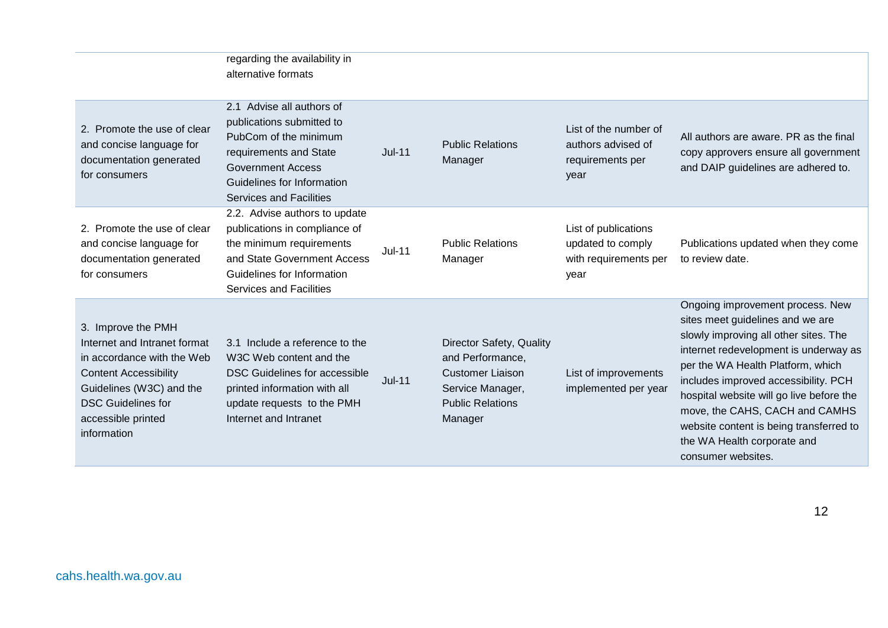|                                                                                                                                                                                                                | regarding the availability in<br>alternative formats                                                                                                                                                  |          |                                                                                                                                   |                                                                            |                                                                                                                                                                                                                                                                                                                                                                                                                   |
|----------------------------------------------------------------------------------------------------------------------------------------------------------------------------------------------------------------|-------------------------------------------------------------------------------------------------------------------------------------------------------------------------------------------------------|----------|-----------------------------------------------------------------------------------------------------------------------------------|----------------------------------------------------------------------------|-------------------------------------------------------------------------------------------------------------------------------------------------------------------------------------------------------------------------------------------------------------------------------------------------------------------------------------------------------------------------------------------------------------------|
| 2. Promote the use of clear<br>and concise language for<br>documentation generated<br>for consumers                                                                                                            | 2.1 Advise all authors of<br>publications submitted to<br>PubCom of the minimum<br>requirements and State<br><b>Government Access</b><br>Guidelines for Information<br><b>Services and Facilities</b> | $Jul-11$ | <b>Public Relations</b><br>Manager                                                                                                | List of the number of<br>authors advised of<br>requirements per<br>year    | All authors are aware. PR as the final<br>copy approvers ensure all government<br>and DAIP guidelines are adhered to.                                                                                                                                                                                                                                                                                             |
| 2. Promote the use of clear<br>and concise language for<br>documentation generated<br>for consumers                                                                                                            | 2.2. Advise authors to update<br>publications in compliance of<br>the minimum requirements<br>and State Government Access<br>Guidelines for Information<br><b>Services and Facilities</b>             | $Jul-11$ | <b>Public Relations</b><br>Manager                                                                                                | List of publications<br>updated to comply<br>with requirements per<br>year | Publications updated when they come<br>to review date.                                                                                                                                                                                                                                                                                                                                                            |
| 3. Improve the PMH<br>Internet and Intranet format<br>in accordance with the Web<br><b>Content Accessibility</b><br>Guidelines (W3C) and the<br><b>DSC Guidelines for</b><br>accessible printed<br>information | 3.1 Include a reference to the<br>W3C Web content and the<br><b>DSC Guidelines for accessible</b><br>printed information with all<br>update requests to the PMH<br>Internet and Intranet              | $Jul-11$ | Director Safety, Quality<br>and Performance,<br><b>Customer Liaison</b><br>Service Manager,<br><b>Public Relations</b><br>Manager | List of improvements<br>implemented per year                               | Ongoing improvement process. New<br>sites meet guidelines and we are<br>slowly improving all other sites. The<br>internet redevelopment is underway as<br>per the WA Health Platform, which<br>includes improved accessibility. PCH<br>hospital website will go live before the<br>move, the CAHS, CACH and CAMHS<br>website content is being transferred to<br>the WA Health corporate and<br>consumer websites. |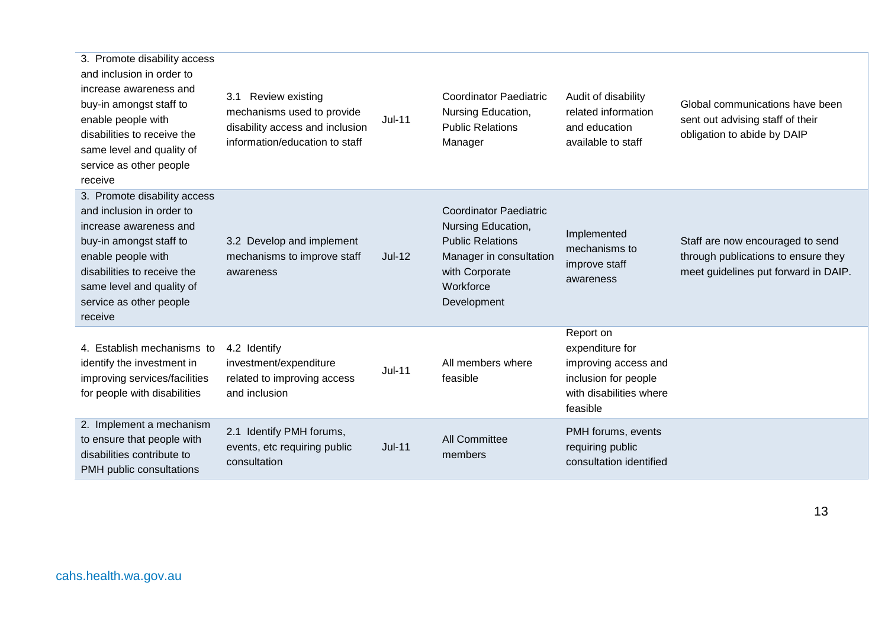| 3. Promote disability access<br>and inclusion in order to<br>increase awareness and<br>buy-in amongst staff to<br>enable people with<br>disabilities to receive the<br>same level and quality of<br>service as other people<br>receive | Review existing<br>3.1<br>mechanisms used to provide<br>disability access and inclusion<br>information/education to staff | $Jul-11$      | <b>Coordinator Paediatric</b><br>Nursing Education,<br><b>Public Relations</b><br>Manager                                                               | Audit of disability<br>related information<br>and education<br>available to staff                                   | Global communications have been<br>sent out advising staff of their<br>obligation to abide by DAIP              |
|----------------------------------------------------------------------------------------------------------------------------------------------------------------------------------------------------------------------------------------|---------------------------------------------------------------------------------------------------------------------------|---------------|---------------------------------------------------------------------------------------------------------------------------------------------------------|---------------------------------------------------------------------------------------------------------------------|-----------------------------------------------------------------------------------------------------------------|
| 3. Promote disability access<br>and inclusion in order to<br>increase awareness and<br>buy-in amongst staff to<br>enable people with<br>disabilities to receive the<br>same level and quality of<br>service as other people<br>receive | 3.2 Develop and implement<br>mechanisms to improve staff<br>awareness                                                     | $Jul-12$      | <b>Coordinator Paediatric</b><br>Nursing Education,<br><b>Public Relations</b><br>Manager in consultation<br>with Corporate<br>Workforce<br>Development | Implemented<br>mechanisms to<br>improve staff<br>awareness                                                          | Staff are now encouraged to send<br>through publications to ensure they<br>meet guidelines put forward in DAIP. |
| 4. Establish mechanisms to<br>identify the investment in<br>improving services/facilities<br>for people with disabilities                                                                                                              | 4.2 Identify<br>investment/expenditure<br>related to improving access<br>and inclusion                                    | <b>Jul-11</b> | All members where<br>feasible                                                                                                                           | Report on<br>expenditure for<br>improving access and<br>inclusion for people<br>with disabilities where<br>feasible |                                                                                                                 |
| 2. Implement a mechanism<br>to ensure that people with<br>disabilities contribute to<br>PMH public consultations                                                                                                                       | 2.1 Identify PMH forums,<br>events, etc requiring public<br>consultation                                                  | <b>Jul-11</b> | <b>All Committee</b><br>members                                                                                                                         | PMH forums, events<br>requiring public<br>consultation identified                                                   |                                                                                                                 |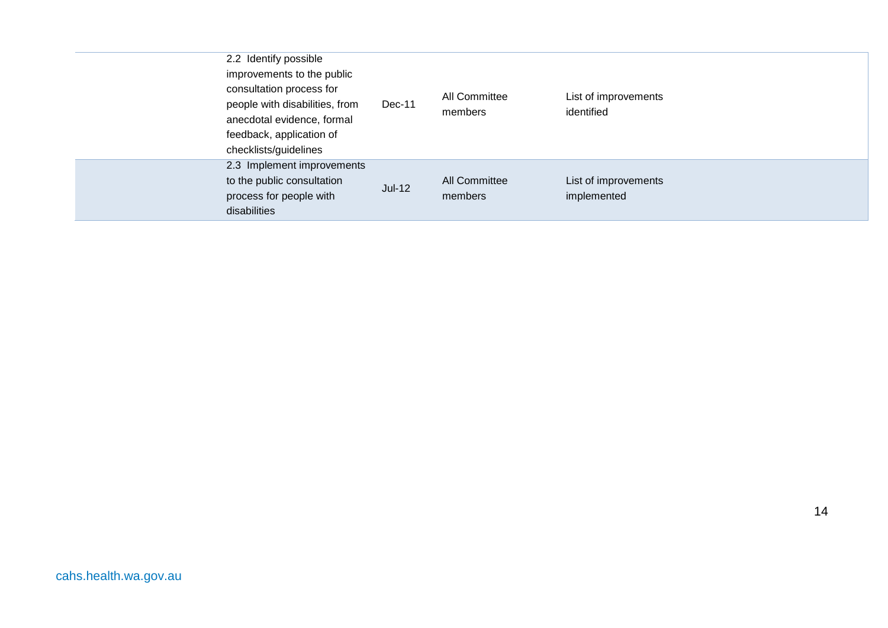| 2.2 Identify possible<br>improvements to the public<br>consultation process for<br>people with disabilities, from<br>anecdotal evidence, formal<br>feedback, application of<br>checklists/guidelines | Dec-11   | All Committee<br>members        | List of improvements<br>identified  |
|------------------------------------------------------------------------------------------------------------------------------------------------------------------------------------------------------|----------|---------------------------------|-------------------------------------|
| 2.3 Implement improvements<br>to the public consultation<br>process for people with<br>disabilities                                                                                                  | $Jul-12$ | <b>All Committee</b><br>members | List of improvements<br>implemented |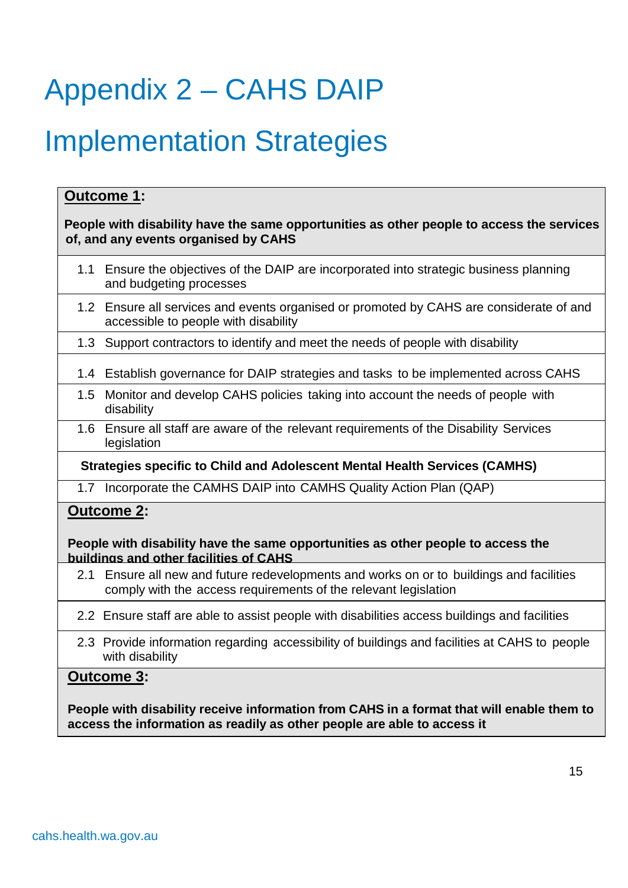# <span id="page-14-0"></span>Appendix 2 – CAHS DAIP

## Implementation Strategies

#### **Outcome 1:**

#### **People with disability have the same opportunities as other people to access the services of, and any events organised by CAHS**

- 1.1 Ensure the objectives of the DAIP are incorporated into strategic business planning and budgeting processes
- 1.2 Ensure all services and events organised or promoted by CAHS are considerate of and accessible to people with disability
- 1.3 Support contractors to identify and meet the needs of people with disability
- 1.4 Establish governance for DAIP strategies and tasks to be implemented across CAHS
- 1.5 Monitor and develop CAHS policies taking into account the needs of people with disability
- 1.6 Ensure all staff are aware of the relevant requirements of the Disability Services legislation

#### **Strategies specific to Child and Adolescent Mental Health Services (CAMHS)**

1.7 Incorporate the CAMHS DAIP into CAMHS Quality Action Plan (QAP)

#### **Outcome 2:**

#### **People with disability have the same opportunities as other people to access the buildings and other facilities of CAHS**

- 2.1 Ensure all new and future redevelopments and works on or to buildings and facilities comply with the access requirements of the relevant legislation
- 2.2 Ensure staff are able to assist people with disabilities access buildings and facilities
- 2.3 Provide information regarding accessibility of buildings and facilities at CAHS to people with disability

#### **Outcome 3:**

**People with disability receive information from CAHS in a format that will enable them to access the information as readily as other people are able to access it**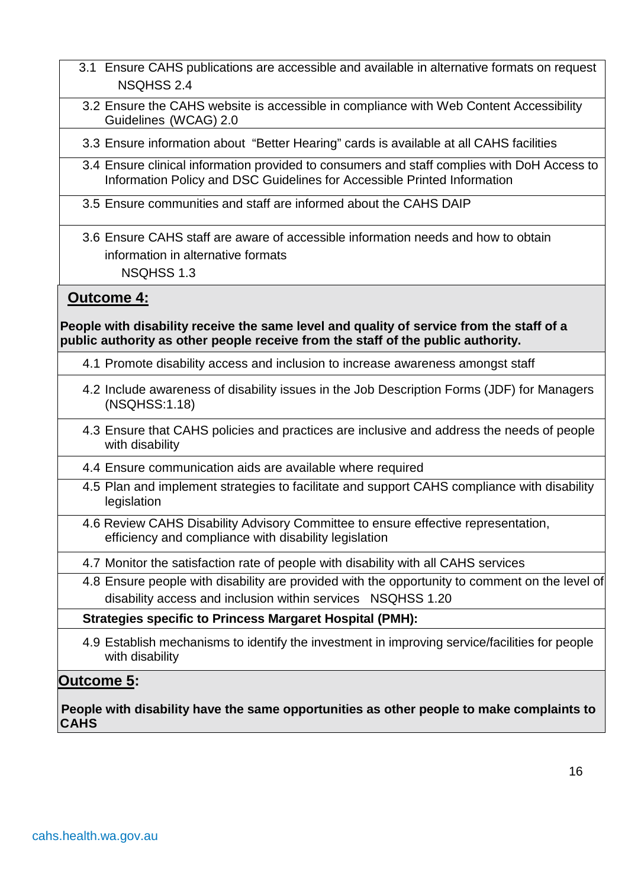- 3.1 Ensure CAHS publications are accessible and available in alternative formats on request NSQHSS 2.4
- 3.2 Ensure the CAHS website is accessible in compliance with Web Content Accessibility Guidelines (WCAG) 2.0

3.3 Ensure information about "Better Hearing" cards is available at all CAHS facilities

- 3.4 Ensure clinical information provided to consumers and staff complies with DoH Access to Information Policy and DSC Guidelines for Accessible Printed Information
- 3.5 Ensure communities and staff are informed about the CAHS DAIP
- 3.6 Ensure CAHS staff are aware of accessible information needs and how to obtain information in alternative formats NSQHSS 1.3

#### **Outcome 4:**

**People with disability receive the same level and quality of service from the staff of a public authority as other people receive from the staff of the public authority.**

- 4.1 Promote disability access and inclusion to increase awareness amongst staff
- 4.2 Include awareness of disability issues in the Job Description Forms (JDF) for Managers (NSQHSS:1.18)
- 4.3 Ensure that CAHS policies and practices are inclusive and address the needs of people with disability
- 4.4 Ensure communication aids are available where required
- 4.5 Plan and implement strategies to facilitate and support CAHS compliance with disability legislation
- 4.6 Review CAHS Disability Advisory Committee to ensure effective representation, efficiency and compliance with disability legislation
- 4.7 Monitor the satisfaction rate of people with disability with all CAHS services
- 4.8 Ensure people with disability are provided with the opportunity to comment on the level of disability access and inclusion within services NSQHSS 1.20

**Strategies specific to Princess Margaret Hospital (PMH):**

4.9 Establish mechanisms to identify the investment in improving service/facilities for people with disability

#### **Outcome 5:**

**People with disability have the same opportunities as other people to make complaints to CAHS**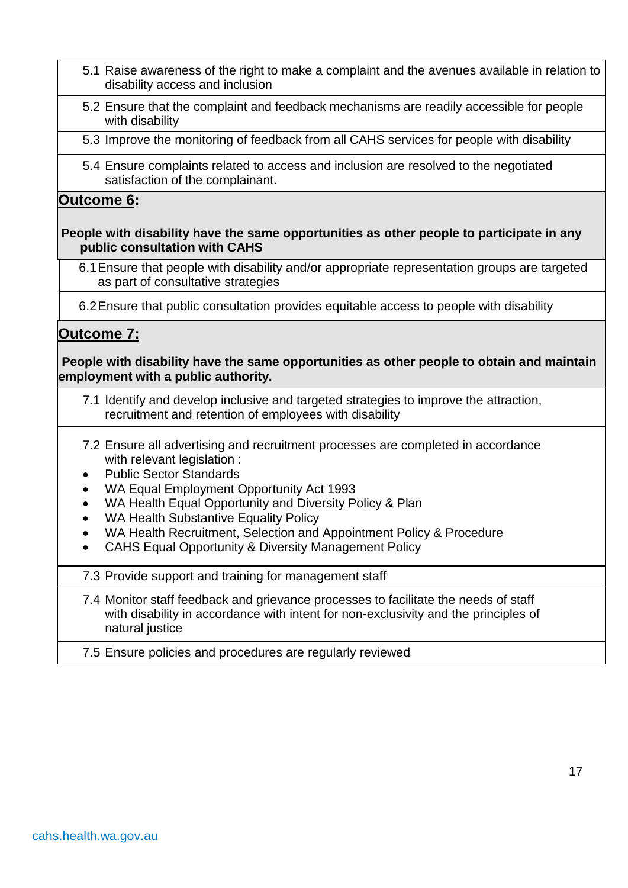- 5.1 Raise awareness of the right to make a complaint and the avenues available in relation to disability access and inclusion
- 5.2 Ensure that the complaint and feedback mechanisms are readily accessible for people with disability
- 5.3 Improve the monitoring of feedback from all CAHS services for people with disability
- 5.4 Ensure complaints related to access and inclusion are resolved to the negotiated satisfaction of the complainant.

#### **Outcome 6:**

#### **People with disability have the same opportunities as other people to participate in any public consultation with CAHS**

6.1Ensure that people with disability and/or appropriate representation groups are targeted as part of consultative strategies

6.2Ensure that public consultation provides equitable access to people with disability

#### **Outcome 7:**

#### **People with disability have the same opportunities as other people to obtain and maintain employment with a public authority.**

- 7.1 Identify and develop inclusive and targeted strategies to improve the attraction, recruitment and retention of employees with disability
- 7.2 Ensure all advertising and recruitment processes are completed in accordance with relevant legislation :
- Public Sector Standards
- WA Equal Employment Opportunity Act 1993
- WA Health Equal Opportunity and Diversity Policy & Plan
- WA Health Substantive Equality Policy
- WA Health Recruitment, Selection and Appointment Policy & Procedure
- CAHS Equal Opportunity & Diversity Management Policy

7.3 Provide support and training for management staff

7.4 Monitor staff feedback and grievance processes to facilitate the needs of staff with disability in accordance with intent for non-exclusivity and the principles of natural justice

#### 7.5 Ensure policies and procedures are regularly reviewed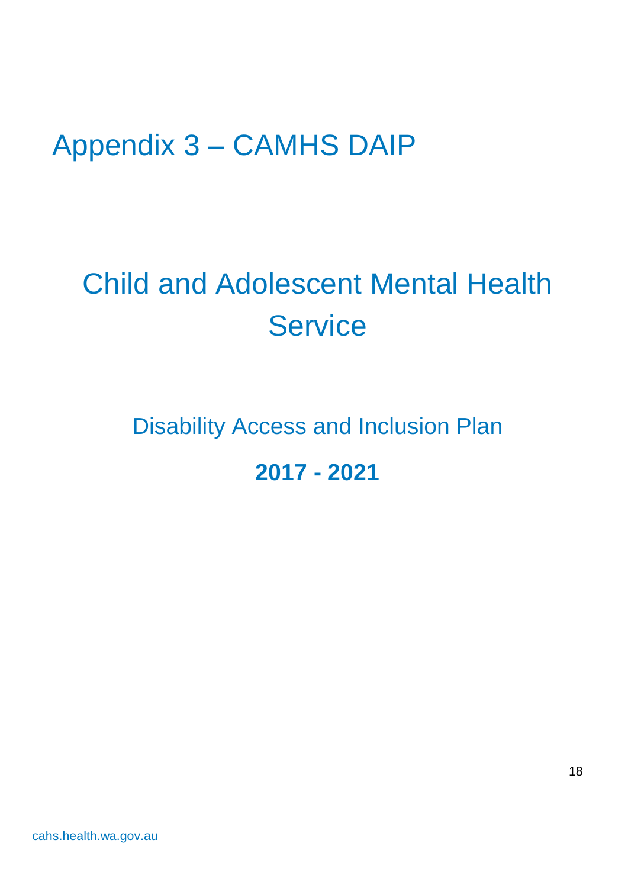## <span id="page-17-0"></span>Appendix 3 – CAMHS DAIP

# Child and Adolescent Mental Health **Service**

## Disability Access and Inclusion Plan **2017 - 2021**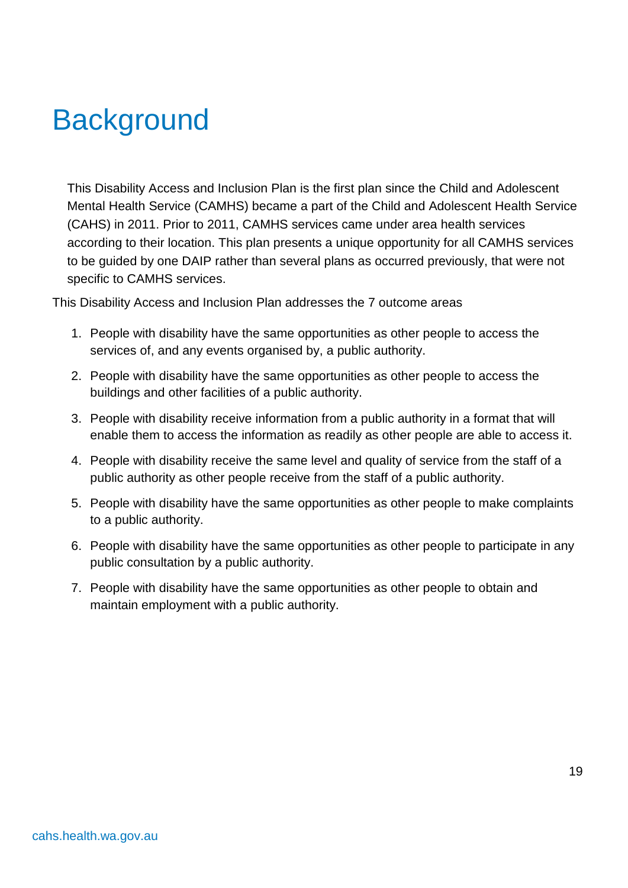## **Background**

This Disability Access and Inclusion Plan is the first plan since the Child and Adolescent Mental Health Service (CAMHS) became a part of the Child and Adolescent Health Service (CAHS) in 2011. Prior to 2011, CAMHS services came under area health services according to their location. This plan presents a unique opportunity for all CAMHS services to be guided by one DAIP rather than several plans as occurred previously, that were not specific to CAMHS services.

This Disability Access and Inclusion Plan addresses the 7 outcome areas

- 1. People with disability have the same opportunities as other people to access the services of, and any events organised by, a public authority.
- 2. People with disability have the same opportunities as other people to access the buildings and other facilities of a public authority.
- 3. People with disability receive information from a public authority in a format that will enable them to access the information as readily as other people are able to access it.
- 4. People with disability receive the same level and quality of service from the staff of a public authority as other people receive from the staff of a public authority.
- 5. People with disability have the same opportunities as other people to make complaints to a public authority.
- 6. People with disability have the same opportunities as other people to participate in any public consultation by a public authority.
- 7. People with disability have the same opportunities as other people to obtain and maintain employment with a public authority.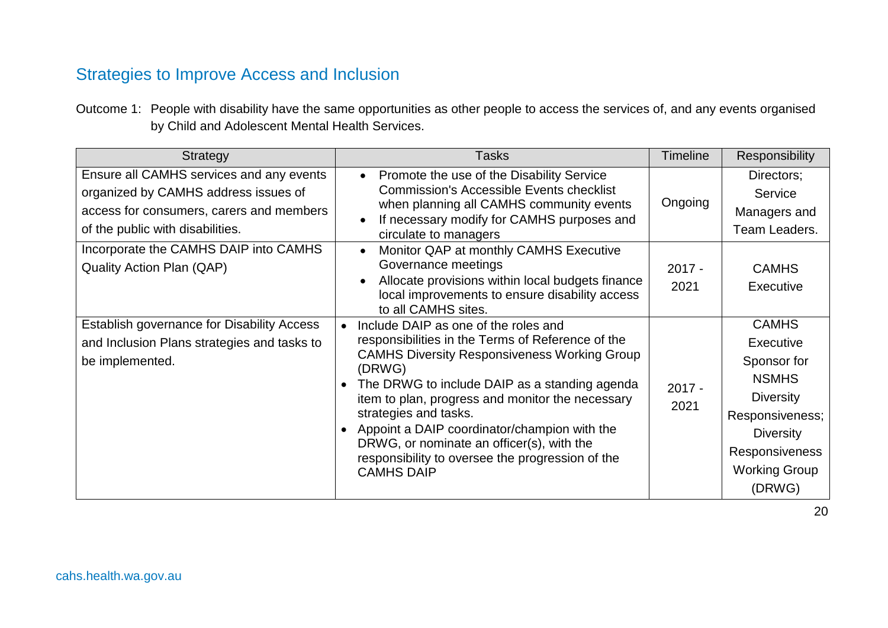## Strategies to Improve Access and Inclusion

Outcome 1: People with disability have the same opportunities as other people to access the services of, and any events organised by Child and Adolescent Mental Health Services.

| <b>Strategy</b>                                                                                                                                                  | <b>Tasks</b>                                                                                                                                                                                                                                                                                                                                                                                                                                                                | <b>Timeline</b>  | Responsibility                                                                                                                                                                 |
|------------------------------------------------------------------------------------------------------------------------------------------------------------------|-----------------------------------------------------------------------------------------------------------------------------------------------------------------------------------------------------------------------------------------------------------------------------------------------------------------------------------------------------------------------------------------------------------------------------------------------------------------------------|------------------|--------------------------------------------------------------------------------------------------------------------------------------------------------------------------------|
| Ensure all CAMHS services and any events<br>organized by CAMHS address issues of<br>access for consumers, carers and members<br>of the public with disabilities. | Promote the use of the Disability Service<br>$\bullet$<br><b>Commission's Accessible Events checklist</b><br>when planning all CAMHS community events<br>If necessary modify for CAMHS purposes and<br>circulate to managers                                                                                                                                                                                                                                                | Ongoing          | Directors;<br>Service<br>Managers and<br>Team Leaders.                                                                                                                         |
| Incorporate the CAMHS DAIP into CAMHS<br><b>Quality Action Plan (QAP)</b>                                                                                        | Monitor QAP at monthly CAMHS Executive<br>$\bullet$<br>Governance meetings<br>Allocate provisions within local budgets finance<br>local improvements to ensure disability access<br>to all CAMHS sites.                                                                                                                                                                                                                                                                     | $2017 -$<br>2021 | <b>CAMHS</b><br>Executive                                                                                                                                                      |
| Establish governance for Disability Access<br>and Inclusion Plans strategies and tasks to<br>be implemented.                                                     | Include DAIP as one of the roles and<br>responsibilities in the Terms of Reference of the<br><b>CAMHS Diversity Responsiveness Working Group</b><br>(DRWG)<br>The DRWG to include DAIP as a standing agenda<br>$\bullet$<br>item to plan, progress and monitor the necessary<br>strategies and tasks.<br>Appoint a DAIP coordinator/champion with the<br>DRWG, or nominate an officer(s), with the<br>responsibility to oversee the progression of the<br><b>CAMHS DAIP</b> | $2017 -$<br>2021 | <b>CAMHS</b><br>Executive<br>Sponsor for<br><b>NSMHS</b><br><b>Diversity</b><br>Responsiveness;<br><b>Diversity</b><br><b>Responsiveness</b><br><b>Working Group</b><br>(DRWG) |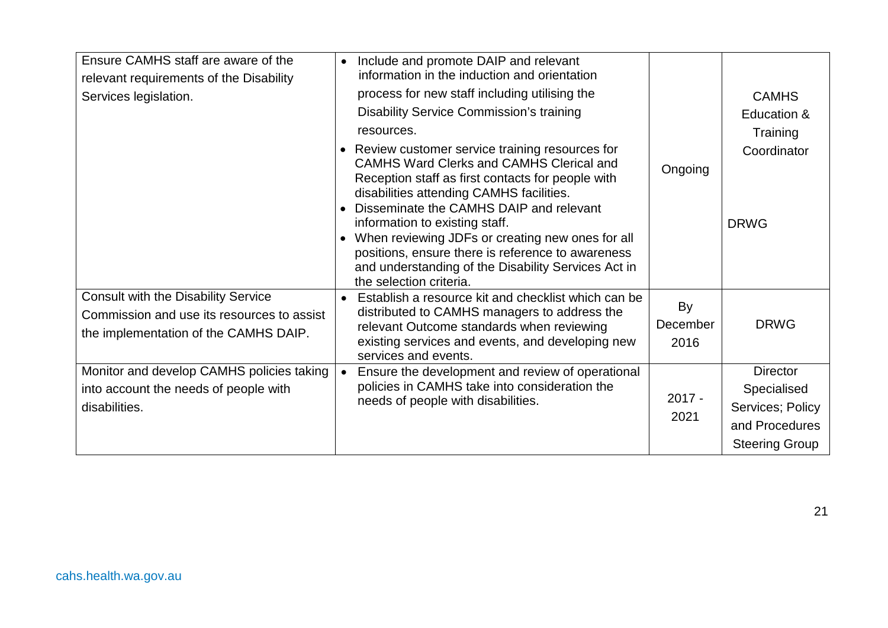| Ensure CAMHS staff are aware of the<br>relevant requirements of the Disability | Include and promote DAIP and relevant<br>$\bullet$<br>information in the induction and orientation                                               |          |                       |
|--------------------------------------------------------------------------------|--------------------------------------------------------------------------------------------------------------------------------------------------|----------|-----------------------|
| Services legislation.                                                          | process for new staff including utilising the                                                                                                    |          | <b>CAMHS</b>          |
|                                                                                | Disability Service Commission's training                                                                                                         |          | Education &           |
|                                                                                | resources.                                                                                                                                       |          | Training              |
|                                                                                | Review customer service training resources for<br>$\bullet$                                                                                      |          | Coordinator           |
|                                                                                | <b>CAMHS Ward Clerks and CAMHS Clerical and</b><br>Reception staff as first contacts for people with<br>disabilities attending CAMHS facilities. | Ongoing  |                       |
|                                                                                | Disseminate the CAMHS DAIP and relevant                                                                                                          |          |                       |
|                                                                                | information to existing staff.                                                                                                                   |          | <b>DRWG</b>           |
|                                                                                | When reviewing JDFs or creating new ones for all<br>positions, ensure there is reference to awareness                                            |          |                       |
|                                                                                | and understanding of the Disability Services Act in                                                                                              |          |                       |
|                                                                                | the selection criteria.                                                                                                                          |          |                       |
| <b>Consult with the Disability Service</b>                                     | Establish a resource kit and checklist which can be                                                                                              | By       |                       |
| Commission and use its resources to assist                                     | distributed to CAMHS managers to address the<br>relevant Outcome standards when reviewing                                                        | December | <b>DRWG</b>           |
| the implementation of the CAMHS DAIP.                                          | existing services and events, and developing new                                                                                                 | 2016     |                       |
|                                                                                | services and events.                                                                                                                             |          |                       |
| Monitor and develop CAMHS policies taking                                      | Ensure the development and review of operational                                                                                                 |          | <b>Director</b>       |
| into account the needs of people with                                          | policies in CAMHS take into consideration the                                                                                                    | $2017 -$ | Specialised           |
| disabilities.                                                                  | needs of people with disabilities.                                                                                                               | 2021     | Services; Policy      |
|                                                                                |                                                                                                                                                  |          | and Procedures        |
|                                                                                |                                                                                                                                                  |          | <b>Steering Group</b> |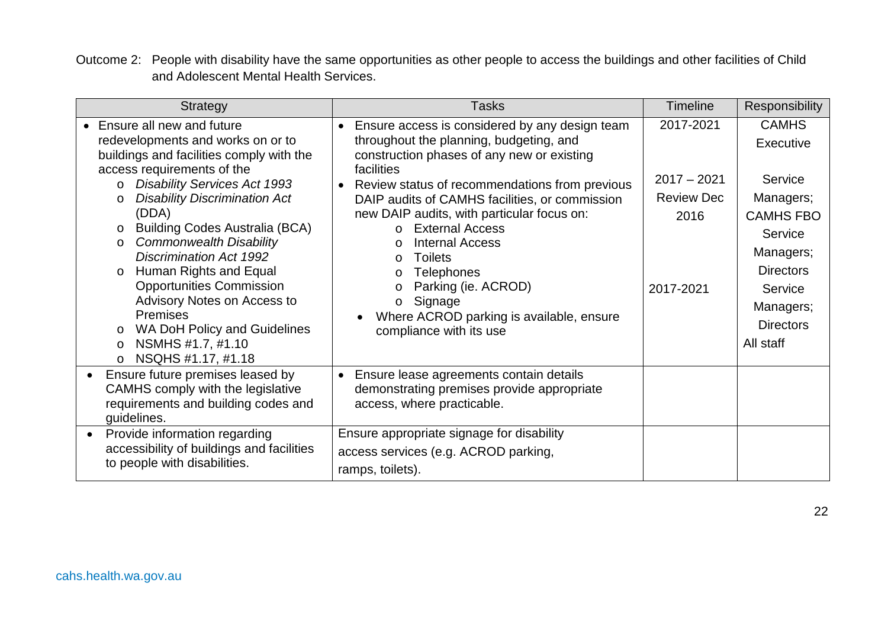Outcome 2: People with disability have the same opportunities as other people to access the buildings and other facilities of Child and Adolescent Mental Health Services.

| Strategy                                                                                                                                                                                                                                                                                                                                                                                                                                                                                                                                                                                                    | <b>Tasks</b>                                                                                                                                                                                                                                                                                                                                                                                                                                                                                                                                                                                 | <b>Timeline</b>                                                      | Responsibility                                                                                                                                                             |
|-------------------------------------------------------------------------------------------------------------------------------------------------------------------------------------------------------------------------------------------------------------------------------------------------------------------------------------------------------------------------------------------------------------------------------------------------------------------------------------------------------------------------------------------------------------------------------------------------------------|----------------------------------------------------------------------------------------------------------------------------------------------------------------------------------------------------------------------------------------------------------------------------------------------------------------------------------------------------------------------------------------------------------------------------------------------------------------------------------------------------------------------------------------------------------------------------------------------|----------------------------------------------------------------------|----------------------------------------------------------------------------------------------------------------------------------------------------------------------------|
| • Ensure all new and future<br>redevelopments and works on or to<br>buildings and facilities comply with the<br>access requirements of the<br><b>Disability Services Act 1993</b><br><b>Disability Discrimination Act</b><br>$\circ$<br>(DDA)<br><b>Building Codes Australia (BCA)</b><br>$\circ$<br><b>Commonwealth Disability</b><br>$\circ$<br><b>Discrimination Act 1992</b><br>Human Rights and Equal<br><b>Opportunities Commission</b><br>Advisory Notes on Access to<br><b>Premises</b><br>WA DoH Policy and Guidelines<br>$\circ$<br>NSMHS #1.7, #1.10<br>$\circ$<br>NSQHS #1.17, #1.18<br>$\circ$ | Ensure access is considered by any design team<br>$\bullet$<br>throughout the planning, budgeting, and<br>construction phases of any new or existing<br>facilities<br>Review status of recommendations from previous<br>DAIP audits of CAMHS facilities, or commission<br>new DAIP audits, with particular focus on:<br><b>External Access</b><br>$\Omega$<br><b>Internal Access</b><br>$\Omega$<br><b>Toilets</b><br>$\circ$<br><b>Telephones</b><br>$\circ$<br>Parking (ie. ACROD)<br>$\circ$<br>Signage<br>$\circ$<br>Where ACROD parking is available, ensure<br>compliance with its use | 2017-2021<br>$2017 - 2021$<br><b>Review Dec</b><br>2016<br>2017-2021 | <b>CAMHS</b><br>Executive<br>Service<br>Managers;<br><b>CAMHS FBO</b><br>Service<br>Managers;<br><b>Directors</b><br>Service<br>Managers;<br><b>Directors</b><br>All staff |
| Ensure future premises leased by<br>CAMHS comply with the legislative<br>requirements and building codes and<br>guidelines.                                                                                                                                                                                                                                                                                                                                                                                                                                                                                 | Ensure lease agreements contain details<br>$\bullet$<br>demonstrating premises provide appropriate<br>access, where practicable.                                                                                                                                                                                                                                                                                                                                                                                                                                                             |                                                                      |                                                                                                                                                                            |
| Provide information regarding<br>$\bullet$<br>accessibility of buildings and facilities<br>to people with disabilities.                                                                                                                                                                                                                                                                                                                                                                                                                                                                                     | Ensure appropriate signage for disability<br>access services (e.g. ACROD parking,<br>ramps, toilets).                                                                                                                                                                                                                                                                                                                                                                                                                                                                                        |                                                                      |                                                                                                                                                                            |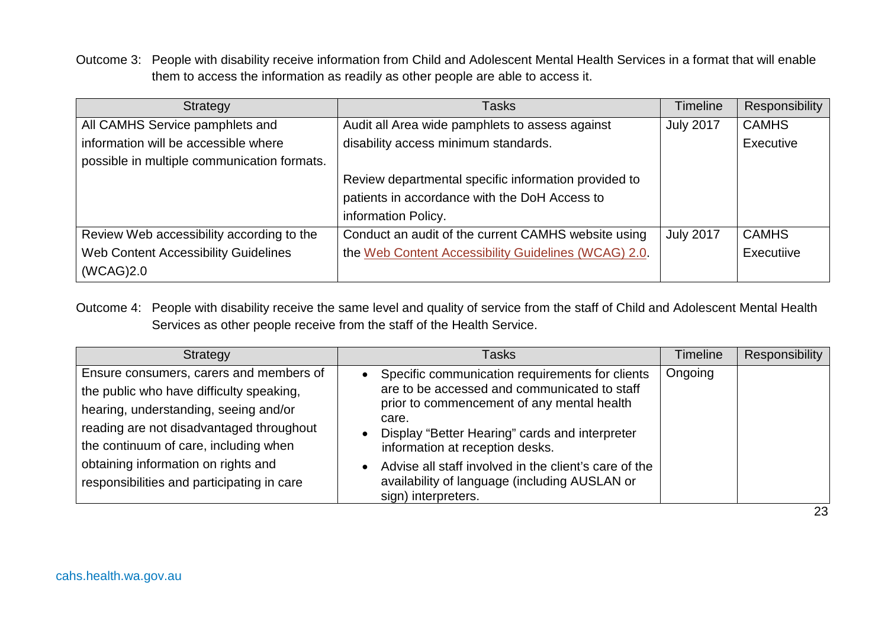Outcome 3: People with disability receive information from Child and Adolescent Mental Health Services in a format that will enable them to access the information as readily as other people are able to access it.

| Strategy                                    | Tasks                                                | Timeline         | Responsibility |
|---------------------------------------------|------------------------------------------------------|------------------|----------------|
| All CAMHS Service pamphlets and             | Audit all Area wide pamphlets to assess against      | <b>July 2017</b> | <b>CAMHS</b>   |
| information will be accessible where        | disability access minimum standards.                 |                  | Executive      |
| possible in multiple communication formats. |                                                      |                  |                |
|                                             | Review departmental specific information provided to |                  |                |
|                                             | patients in accordance with the DoH Access to        |                  |                |
|                                             | information Policy.                                  |                  |                |
| Review Web accessibility according to the   | Conduct an audit of the current CAMHS website using  | <b>July 2017</b> | <b>CAMHS</b>   |
| Web Content Accessibility Guidelines        | the Web Content Accessibility Guidelines (WCAG) 2.0. |                  | Executiive     |
| (WCAG) 2.0                                  |                                                      |                  |                |

Outcome 4: People with disability receive the same level and quality of service from the staff of Child and Adolescent Mental Health Services as other people receive from the staff of the Health Service.

| Strategy                                                                                                                                                                                                                                                                                               | Tasks                                                                                                                                                                                                                                                                                                                                                                                                  | Timeline | Responsibility |
|--------------------------------------------------------------------------------------------------------------------------------------------------------------------------------------------------------------------------------------------------------------------------------------------------------|--------------------------------------------------------------------------------------------------------------------------------------------------------------------------------------------------------------------------------------------------------------------------------------------------------------------------------------------------------------------------------------------------------|----------|----------------|
| Ensure consumers, carers and members of<br>the public who have difficulty speaking,<br>hearing, understanding, seeing and/or<br>reading are not disadvantaged throughout<br>the continuum of care, including when<br>obtaining information on rights and<br>responsibilities and participating in care | Specific communication requirements for clients<br>$\bullet$<br>are to be accessed and communicated to staff<br>prior to commencement of any mental health<br>care.<br>Display "Better Hearing" cards and interpreter<br>$\bullet$<br>information at reception desks.<br>Advise all staff involved in the client's care of the<br>availability of language (including AUSLAN or<br>sign) interpreters. | Ongoing  |                |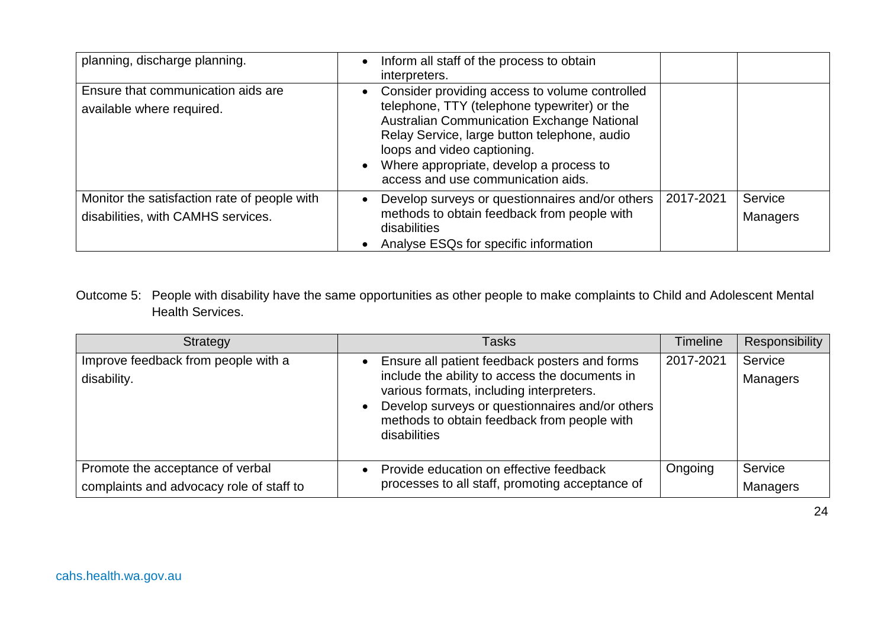| planning, discharge planning.                                                      | Inform all staff of the process to obtain<br>interpreters.                                                                                                                                                                                                                                                   |           |                            |
|------------------------------------------------------------------------------------|--------------------------------------------------------------------------------------------------------------------------------------------------------------------------------------------------------------------------------------------------------------------------------------------------------------|-----------|----------------------------|
| Ensure that communication aids are<br>available where required.                    | Consider providing access to volume controlled<br>telephone, TTY (telephone typewriter) or the<br>Australian Communication Exchange National<br>Relay Service, large button telephone, audio<br>loops and video captioning.<br>Where appropriate, develop a process to<br>access and use communication aids. |           |                            |
| Monitor the satisfaction rate of people with<br>disabilities, with CAMHS services. | Develop surveys or questionnaires and/or others<br>methods to obtain feedback from people with<br>disabilities<br>Analyse ESQs for specific information                                                                                                                                                      | 2017-2021 | Service<br><b>Managers</b> |

#### Outcome 5: People with disability have the same opportunities as other people to make complaints to Child and Adolescent Mental Health Services.

| Strategy                                                                     | <b>Tasks</b>                                                                                                                                                                                                                                                  | <b>Timeline</b> | Responsibility             |
|------------------------------------------------------------------------------|---------------------------------------------------------------------------------------------------------------------------------------------------------------------------------------------------------------------------------------------------------------|-----------------|----------------------------|
| Improve feedback from people with a<br>disability.                           | Ensure all patient feedback posters and forms<br>include the ability to access the documents in<br>various formats, including interpreters.<br>Develop surveys or questionnaires and/or others<br>methods to obtain feedback from people with<br>disabilities | 2017-2021       | Service<br>Managers        |
| Promote the acceptance of verbal<br>complaints and advocacy role of staff to | Provide education on effective feedback<br>processes to all staff, promoting acceptance of                                                                                                                                                                    | Ongoing         | Service<br><b>Managers</b> |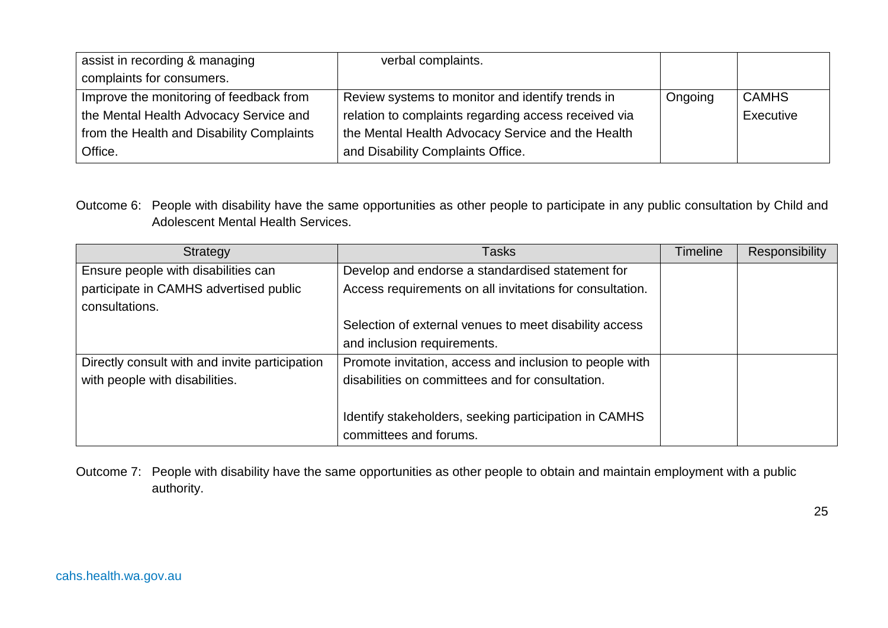| assist in recording & managing            | verbal complaints.                                   |         |              |
|-------------------------------------------|------------------------------------------------------|---------|--------------|
| complaints for consumers.                 |                                                      |         |              |
| Improve the monitoring of feedback from   | Review systems to monitor and identify trends in     | Ongoing | <b>CAMHS</b> |
| the Mental Health Advocacy Service and    | relation to complaints regarding access received via |         | Executive    |
| from the Health and Disability Complaints | the Mental Health Advocacy Service and the Health    |         |              |
| Office.                                   | and Disability Complaints Office.                    |         |              |

Outcome 6: People with disability have the same opportunities as other people to participate in any public consultation by Child and Adolescent Mental Health Services.

| Strategy                                                 | Tasks                                                    | Timeline | <b>Responsibility</b> |
|----------------------------------------------------------|----------------------------------------------------------|----------|-----------------------|
| Ensure people with disabilities can                      | Develop and endorse a standardised statement for         |          |                       |
| participate in CAMHS advertised public<br>consultations. | Access requirements on all invitations for consultation. |          |                       |
|                                                          | Selection of external venues to meet disability access   |          |                       |
|                                                          | and inclusion requirements.                              |          |                       |
| Directly consult with and invite participation           | Promote invitation, access and inclusion to people with  |          |                       |
| with people with disabilities.                           | disabilities on committees and for consultation.         |          |                       |
|                                                          | Identify stakeholders, seeking participation in CAMHS    |          |                       |
|                                                          | committees and forums.                                   |          |                       |

Outcome 7: People with disability have the same opportunities as other people to obtain and maintain employment with a public authority.

25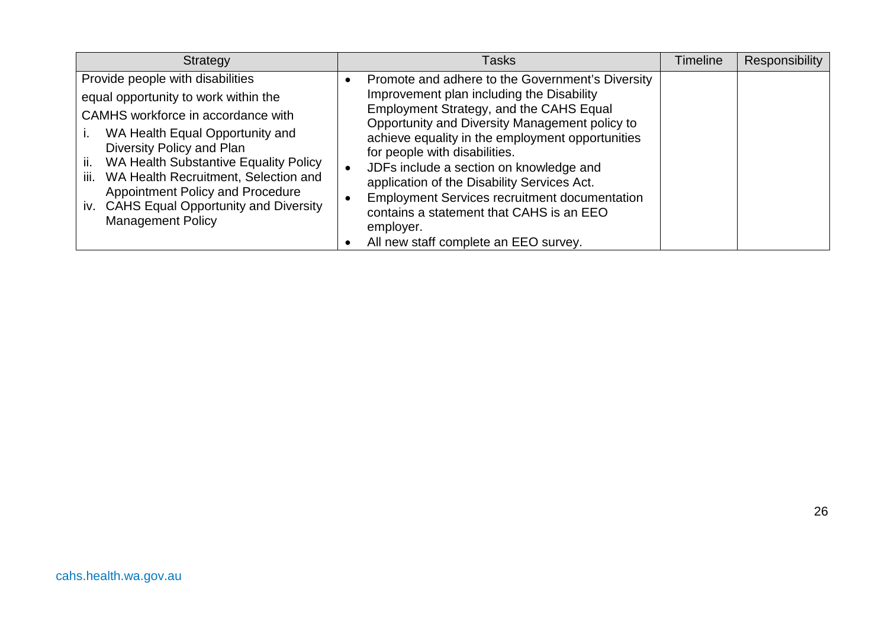| Strategy                                                                                                                                                                                                                                                                                                                                                                                       | Tasks                                                                                                                                                                                                                                                                                                                                                                                                                                                                                                                               | Timeline | <b>Responsibility</b> |
|------------------------------------------------------------------------------------------------------------------------------------------------------------------------------------------------------------------------------------------------------------------------------------------------------------------------------------------------------------------------------------------------|-------------------------------------------------------------------------------------------------------------------------------------------------------------------------------------------------------------------------------------------------------------------------------------------------------------------------------------------------------------------------------------------------------------------------------------------------------------------------------------------------------------------------------------|----------|-----------------------|
| Provide people with disabilities<br>equal opportunity to work within the<br>CAMHS workforce in accordance with<br>WA Health Equal Opportunity and<br>Diversity Policy and Plan<br>ii.<br>WA Health Substantive Equality Policy<br>iii. WA Health Recruitment, Selection and<br><b>Appointment Policy and Procedure</b><br>iv. CAHS Equal Opportunity and Diversity<br><b>Management Policy</b> | Promote and adhere to the Government's Diversity<br>Improvement plan including the Disability<br>Employment Strategy, and the CAHS Equal<br>Opportunity and Diversity Management policy to<br>achieve equality in the employment opportunities<br>for people with disabilities.<br>JDFs include a section on knowledge and<br>application of the Disability Services Act.<br><b>Employment Services recruitment documentation</b><br>contains a statement that CAHS is an EEO<br>employer.<br>All new staff complete an EEO survey. |          |                       |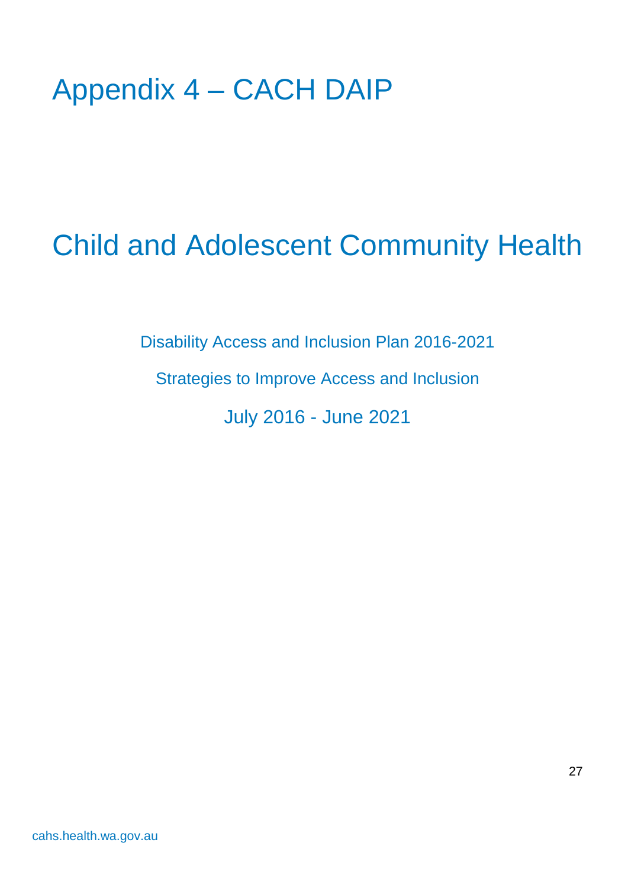## <span id="page-26-0"></span>Appendix 4 – CACH DAIP

# Child and Adolescent Community Health

Disability Access and Inclusion Plan 2016-2021

Strategies to Improve Access and Inclusion

July 2016 - June 2021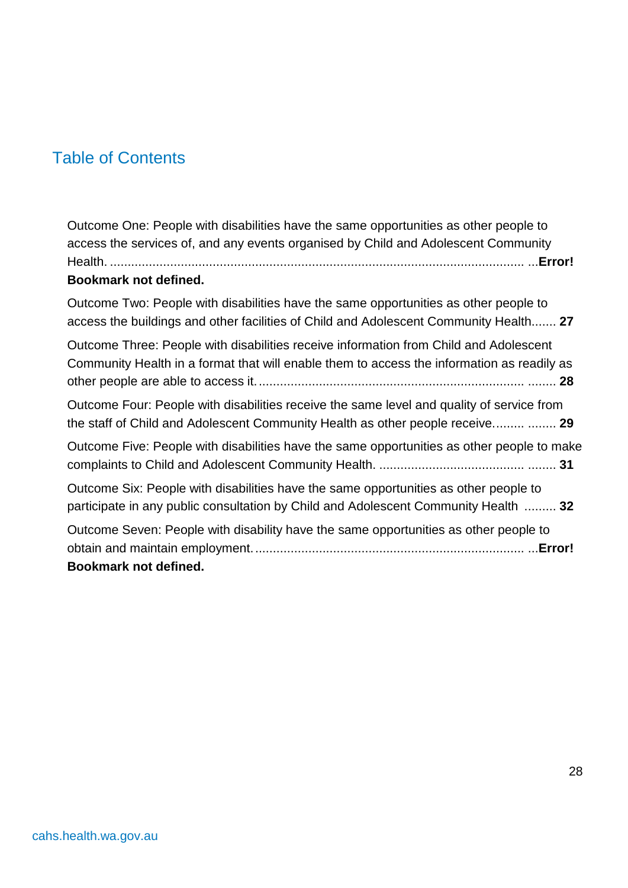## Table of Contents

Outcome One: People with disabilities have the same opportunities as other people to access the services of, and any events organised by Child and Adolescent Community Health. ..................................................................................................................... ...**Error! Bookmark not defined.** Outcome Two: People with disabilities have the same opportunities as other people to access the buildings and other facilities of Child and Adolescent Community Health....... **27** Outcome Three: People with disabilities receive information from Child and Adolescent Community Health in a format that will enable them to access the information as readily as other people are able to access it............................................................................ ........ **28** Outcome Four: People with disabilities receive the same level and quality of service from the staff of Child and Adolescent Community Health as other people receive......... ........ **29** Outcome Five: People with disabilities have the same opportunities as other people to make complaints to Child and Adolescent Community Health. ......................................... ........ **31** Outcome Six: People with disabilities have the same opportunities as other people to participate in any public consultation by Child and Adolescent Community Health ......... **32** Outcome Seven: People with disability have the same opportunities as other people to obtain and maintain employment............................................................................. ...**Error! Bookmark not defined.**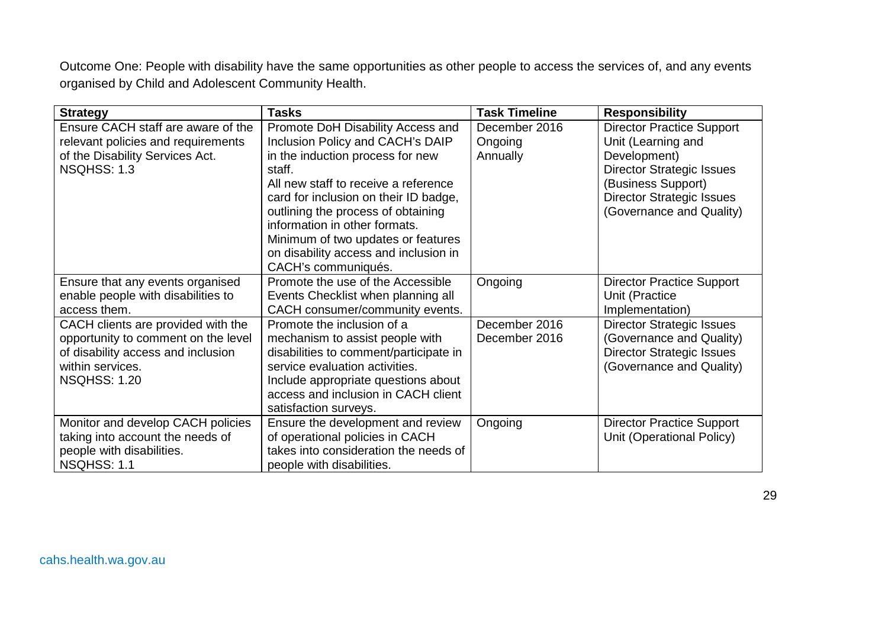Outcome One: People with disability have the same opportunities as other people to access the services of, and any events organised by Child and Adolescent Community Health.

| <b>Strategy</b>                                                                                                                                            | <b>Tasks</b>                                                                                                                                                                                                                                                                                                                                                                      | <b>Task Timeline</b>                 | <b>Responsibility</b>                                                                                                                                                                            |
|------------------------------------------------------------------------------------------------------------------------------------------------------------|-----------------------------------------------------------------------------------------------------------------------------------------------------------------------------------------------------------------------------------------------------------------------------------------------------------------------------------------------------------------------------------|--------------------------------------|--------------------------------------------------------------------------------------------------------------------------------------------------------------------------------------------------|
| Ensure CACH staff are aware of the<br>relevant policies and requirements<br>of the Disability Services Act.<br>NSQHSS: 1.3                                 | Promote DoH Disability Access and<br>Inclusion Policy and CACH's DAIP<br>in the induction process for new<br>staff.<br>All new staff to receive a reference<br>card for inclusion on their ID badge,<br>outlining the process of obtaining<br>information in other formats.<br>Minimum of two updates or features<br>on disability access and inclusion in<br>CACH's communiqués. | December 2016<br>Ongoing<br>Annually | <b>Director Practice Support</b><br>Unit (Learning and<br>Development)<br><b>Director Strategic Issues</b><br>(Business Support)<br><b>Director Strategic Issues</b><br>(Governance and Quality) |
| Ensure that any events organised<br>enable people with disabilities to<br>access them.                                                                     | Promote the use of the Accessible<br>Events Checklist when planning all<br>CACH consumer/community events.                                                                                                                                                                                                                                                                        | Ongoing                              | <b>Director Practice Support</b><br>Unit (Practice<br>Implementation)                                                                                                                            |
| CACH clients are provided with the<br>opportunity to comment on the level<br>of disability access and inclusion<br>within services.<br><b>NSQHSS: 1.20</b> | Promote the inclusion of a<br>mechanism to assist people with<br>disabilities to comment/participate in<br>service evaluation activities.<br>Include appropriate questions about<br>access and inclusion in CACH client<br>satisfaction surveys.                                                                                                                                  | December 2016<br>December 2016       | <b>Director Strategic Issues</b><br>(Governance and Quality)<br><b>Director Strategic Issues</b><br>(Governance and Quality)                                                                     |
| Monitor and develop CACH policies<br>taking into account the needs of<br>people with disabilities.<br>NSQHSS: 1.1                                          | Ensure the development and review<br>of operational policies in CACH<br>takes into consideration the needs of<br>people with disabilities.                                                                                                                                                                                                                                        | Ongoing                              | <b>Director Practice Support</b><br>Unit (Operational Policy)                                                                                                                                    |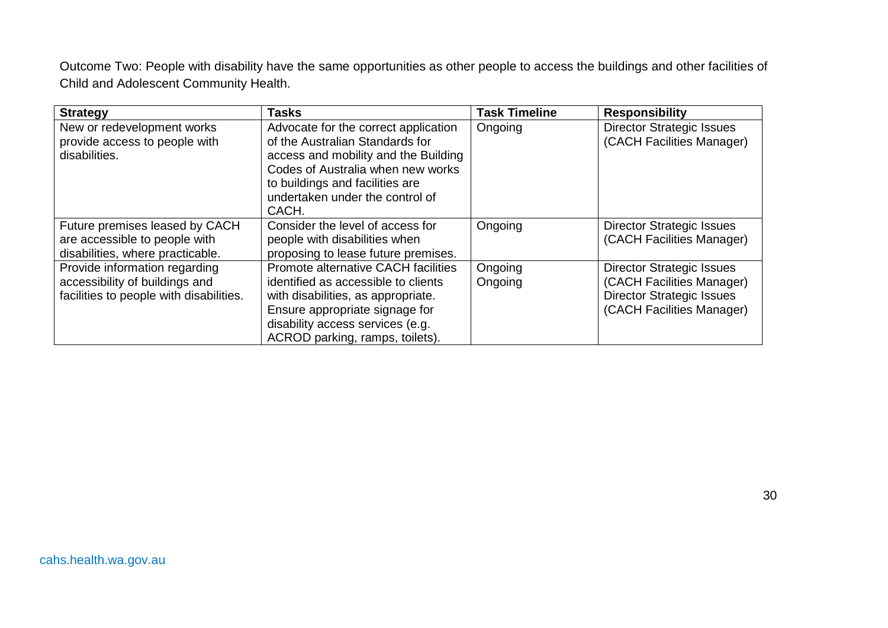Outcome Two: People with disability have the same opportunities as other people to access the buildings and other facilities of Child and Adolescent Community Health.

| <b>Strategy</b>                                                                                            | <b>Tasks</b>                                                                                                                                                                                                                        | <b>Task Timeline</b> | <b>Responsibility</b>                                                                                                          |
|------------------------------------------------------------------------------------------------------------|-------------------------------------------------------------------------------------------------------------------------------------------------------------------------------------------------------------------------------------|----------------------|--------------------------------------------------------------------------------------------------------------------------------|
| New or redevelopment works<br>provide access to people with<br>disabilities.                               | Advocate for the correct application<br>of the Australian Standards for<br>access and mobility and the Building<br>Codes of Australia when new works<br>to buildings and facilities are<br>undertaken under the control of<br>CACH. | Ongoing              | <b>Director Strategic Issues</b><br>(CACH Facilities Manager)                                                                  |
| Future premises leased by CACH<br>are accessible to people with<br>disabilities, where practicable.        | Consider the level of access for<br>people with disabilities when<br>proposing to lease future premises.                                                                                                                            | Ongoing              | <b>Director Strategic Issues</b><br>(CACH Facilities Manager)                                                                  |
| Provide information regarding<br>accessibility of buildings and<br>facilities to people with disabilities. | Promote alternative CACH facilities<br>identified as accessible to clients<br>with disabilities, as appropriate.<br>Ensure appropriate signage for<br>disability access services (e.g.<br>ACROD parking, ramps, toilets).           | Ongoing<br>Ongoing   | <b>Director Strategic Issues</b><br>(CACH Facilities Manager)<br><b>Director Strategic Issues</b><br>(CACH Facilities Manager) |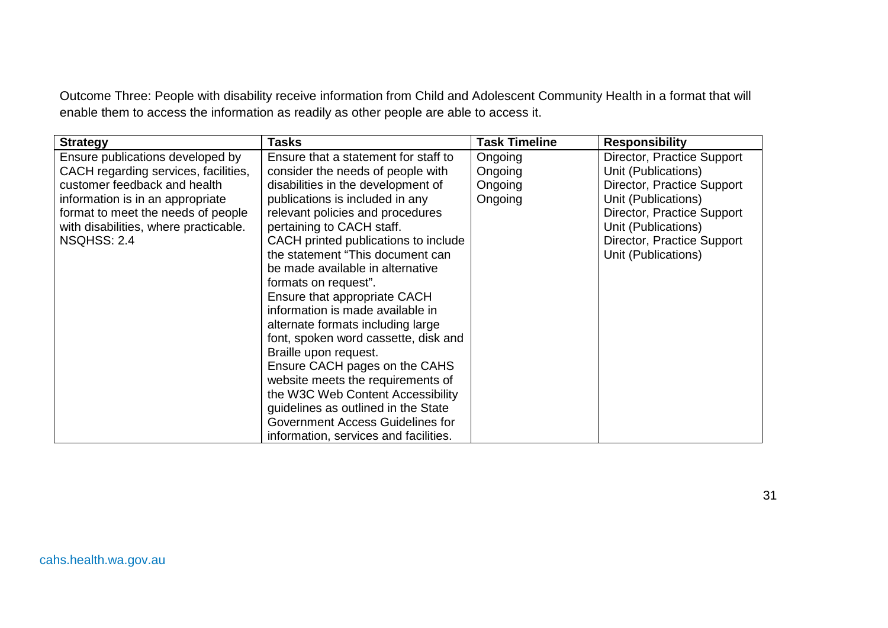Outcome Three: People with disability receive information from Child and Adolescent Community Health in a format that will enable them to access the information as readily as other people are able to access it.

| <b>Strategy</b>                       | Tasks                                 | <b>Task Timeline</b> | <b>Responsibility</b>      |
|---------------------------------------|---------------------------------------|----------------------|----------------------------|
| Ensure publications developed by      | Ensure that a statement for staff to  | Ongoing              | Director, Practice Support |
| CACH regarding services, facilities,  | consider the needs of people with     | Ongoing              | Unit (Publications)        |
| customer feedback and health          | disabilities in the development of    | Ongoing              | Director, Practice Support |
| information is in an appropriate      | publications is included in any       | Ongoing              | Unit (Publications)        |
| format to meet the needs of people    | relevant policies and procedures      |                      | Director, Practice Support |
| with disabilities, where practicable. | pertaining to CACH staff.             |                      | Unit (Publications)        |
| NSQHSS: 2.4                           | CACH printed publications to include  |                      | Director, Practice Support |
|                                       | the statement "This document can      |                      | Unit (Publications)        |
|                                       | be made available in alternative      |                      |                            |
|                                       | formats on request".                  |                      |                            |
|                                       | Ensure that appropriate CACH          |                      |                            |
|                                       | information is made available in      |                      |                            |
|                                       | alternate formats including large     |                      |                            |
|                                       | font, spoken word cassette, disk and  |                      |                            |
|                                       | Braille upon request.                 |                      |                            |
|                                       | Ensure CACH pages on the CAHS         |                      |                            |
|                                       | website meets the requirements of     |                      |                            |
|                                       | the W3C Web Content Accessibility     |                      |                            |
|                                       | guidelines as outlined in the State   |                      |                            |
|                                       | Government Access Guidelines for      |                      |                            |
|                                       | information, services and facilities. |                      |                            |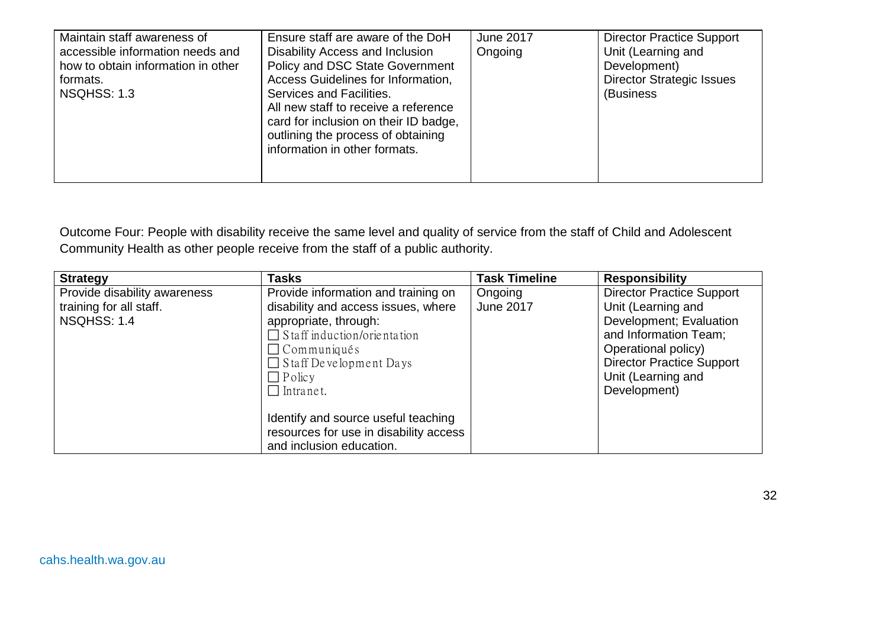| Maintain staff awareness of<br>accessible information needs and<br>how to obtain information in other<br>formats.<br>NSQHSS: 1.3 | Ensure staff are aware of the DoH<br>Disability Access and Inclusion<br>Policy and DSC State Government<br>Access Guidelines for Information,<br>Services and Facilities.<br>All new staff to receive a reference<br>card for inclusion on their ID badge,<br>outlining the process of obtaining<br>information in other formats. | <b>June 2017</b><br>Ongoing | <b>Director Practice Support</b><br>Unit (Learning and<br>Development)<br><b>Director Strategic Issues</b><br>(Business |
|----------------------------------------------------------------------------------------------------------------------------------|-----------------------------------------------------------------------------------------------------------------------------------------------------------------------------------------------------------------------------------------------------------------------------------------------------------------------------------|-----------------------------|-------------------------------------------------------------------------------------------------------------------------|
|----------------------------------------------------------------------------------------------------------------------------------|-----------------------------------------------------------------------------------------------------------------------------------------------------------------------------------------------------------------------------------------------------------------------------------------------------------------------------------|-----------------------------|-------------------------------------------------------------------------------------------------------------------------|

Outcome Four: People with disability receive the same level and quality of service from the staff of Child and Adolescent Community Health as other people receive from the staff of a public authority.

| <b>Strategy</b>                                                        | <b>Tasks</b>                                                                                                                                                                                                                          | <b>Task Timeline</b>        | <b>Responsibility</b>                                                                                                                                                                                       |
|------------------------------------------------------------------------|---------------------------------------------------------------------------------------------------------------------------------------------------------------------------------------------------------------------------------------|-----------------------------|-------------------------------------------------------------------------------------------------------------------------------------------------------------------------------------------------------------|
| Provide disability awareness<br>training for all staff.<br>NSQHSS: 1.4 | Provide information and training on<br>disability and access issues, where<br>appropriate, through:<br>$\Box$ Staff induction/orientation<br>$\Box$ Communiqués<br>$\Box$ Staff Development Days<br>$\Box$ Policy<br>$\Box$ Intranet. | Ongoing<br><b>June 2017</b> | <b>Director Practice Support</b><br>Unit (Learning and<br>Development; Evaluation<br>and Information Team;<br>Operational policy)<br><b>Director Practice Support</b><br>Unit (Learning and<br>Development) |
|                                                                        | Identify and source useful teaching<br>resources for use in disability access<br>and inclusion education.                                                                                                                             |                             |                                                                                                                                                                                                             |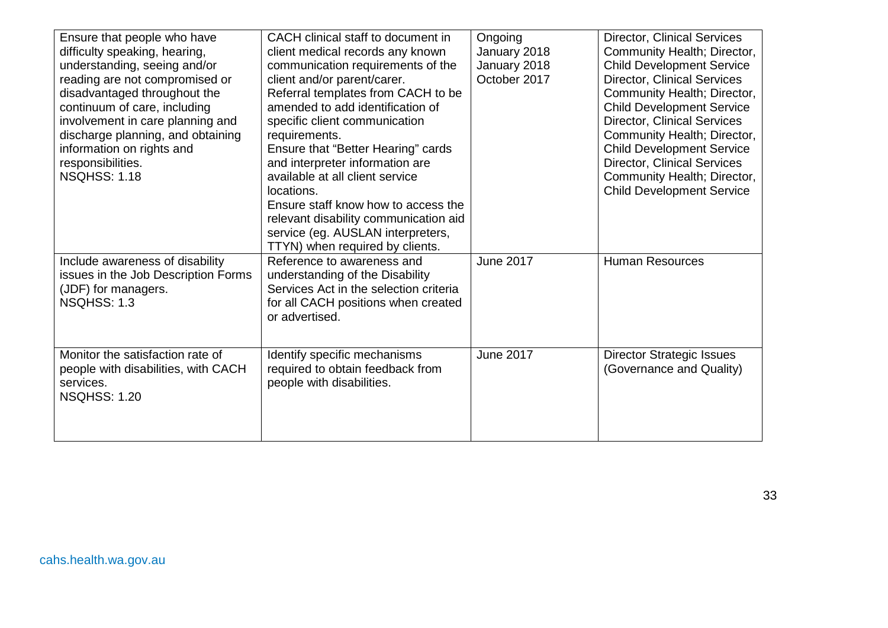| Ensure that people who have<br>difficulty speaking, hearing,<br>understanding, seeing and/or<br>reading are not compromised or<br>disadvantaged throughout the<br>continuum of care, including<br>involvement in care planning and<br>discharge planning, and obtaining<br>information on rights and<br>responsibilities.<br><b>NSQHSS: 1.18</b> | CACH clinical staff to document in<br>client medical records any known<br>communication requirements of the<br>client and/or parent/carer.<br>Referral templates from CACH to be<br>amended to add identification of<br>specific client communication<br>requirements.<br>Ensure that "Better Hearing" cards<br>and interpreter information are<br>available at all client service<br>locations.<br>Ensure staff know how to access the<br>relevant disability communication aid<br>service (eg. AUSLAN interpreters,<br>TTYN) when required by clients. | Ongoing<br>January 2018<br>January 2018<br>October 2017 | <b>Director, Clinical Services</b><br>Community Health; Director,<br><b>Child Development Service</b><br><b>Director, Clinical Services</b><br>Community Health; Director,<br><b>Child Development Service</b><br><b>Director, Clinical Services</b><br>Community Health; Director,<br><b>Child Development Service</b><br><b>Director, Clinical Services</b><br>Community Health; Director,<br><b>Child Development Service</b> |
|--------------------------------------------------------------------------------------------------------------------------------------------------------------------------------------------------------------------------------------------------------------------------------------------------------------------------------------------------|----------------------------------------------------------------------------------------------------------------------------------------------------------------------------------------------------------------------------------------------------------------------------------------------------------------------------------------------------------------------------------------------------------------------------------------------------------------------------------------------------------------------------------------------------------|---------------------------------------------------------|----------------------------------------------------------------------------------------------------------------------------------------------------------------------------------------------------------------------------------------------------------------------------------------------------------------------------------------------------------------------------------------------------------------------------------|
| Include awareness of disability<br>issues in the Job Description Forms<br>(JDF) for managers.<br>NSQHSS: 1.3                                                                                                                                                                                                                                     | Reference to awareness and<br>understanding of the Disability<br>Services Act in the selection criteria<br>for all CACH positions when created<br>or advertised.                                                                                                                                                                                                                                                                                                                                                                                         | <b>June 2017</b>                                        | <b>Human Resources</b>                                                                                                                                                                                                                                                                                                                                                                                                           |
| Monitor the satisfaction rate of<br>people with disabilities, with CACH<br>services.<br><b>NSQHSS: 1.20</b>                                                                                                                                                                                                                                      | Identify specific mechanisms<br>required to obtain feedback from<br>people with disabilities.                                                                                                                                                                                                                                                                                                                                                                                                                                                            | <b>June 2017</b>                                        | <b>Director Strategic Issues</b><br>(Governance and Quality)                                                                                                                                                                                                                                                                                                                                                                     |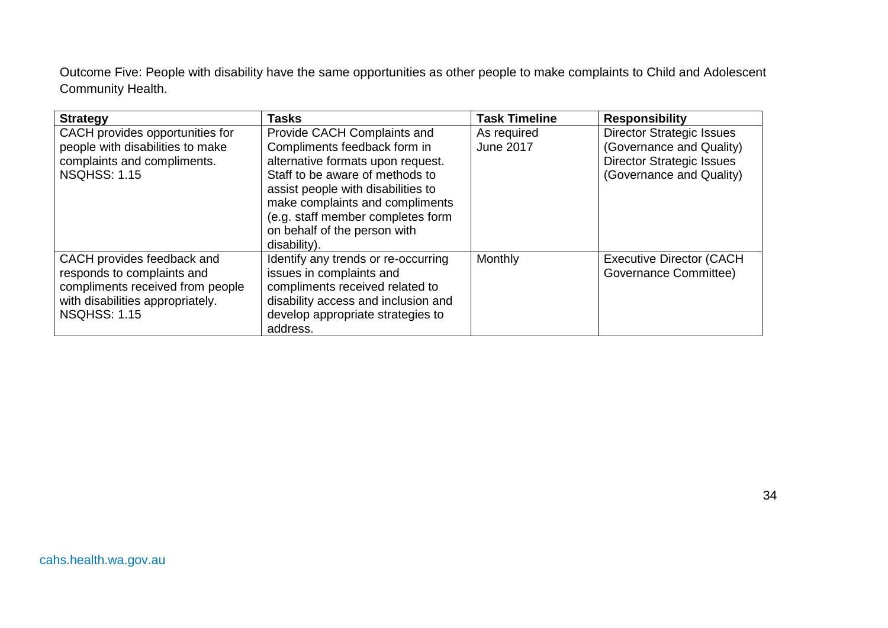Outcome Five: People with disability have the same opportunities as other people to make complaints to Child and Adolescent Community Health.

| <b>Strategy</b>                                                                                                                                         | Tasks                                                                                                                                                                                                                                                                                             | <b>Task Timeline</b>            | <b>Responsibility</b>                                                                                                        |
|---------------------------------------------------------------------------------------------------------------------------------------------------------|---------------------------------------------------------------------------------------------------------------------------------------------------------------------------------------------------------------------------------------------------------------------------------------------------|---------------------------------|------------------------------------------------------------------------------------------------------------------------------|
| CACH provides opportunities for<br>people with disabilities to make<br>complaints and compliments.<br><b>NSQHSS: 1.15</b>                               | Provide CACH Complaints and<br>Compliments feedback form in<br>alternative formats upon request.<br>Staff to be aware of methods to<br>assist people with disabilities to<br>make complaints and compliments<br>(e.g. staff member completes form<br>on behalf of the person with<br>disability). | As required<br><b>June 2017</b> | <b>Director Strategic Issues</b><br>(Governance and Quality)<br><b>Director Strategic Issues</b><br>(Governance and Quality) |
| CACH provides feedback and<br>responds to complaints and<br>compliments received from people<br>with disabilities appropriately.<br><b>NSQHSS: 1.15</b> | Identify any trends or re-occurring<br>issues in complaints and<br>compliments received related to<br>disability access and inclusion and<br>develop appropriate strategies to<br>address.                                                                                                        | Monthly                         | <b>Executive Director (CACH)</b><br>Governance Committee)                                                                    |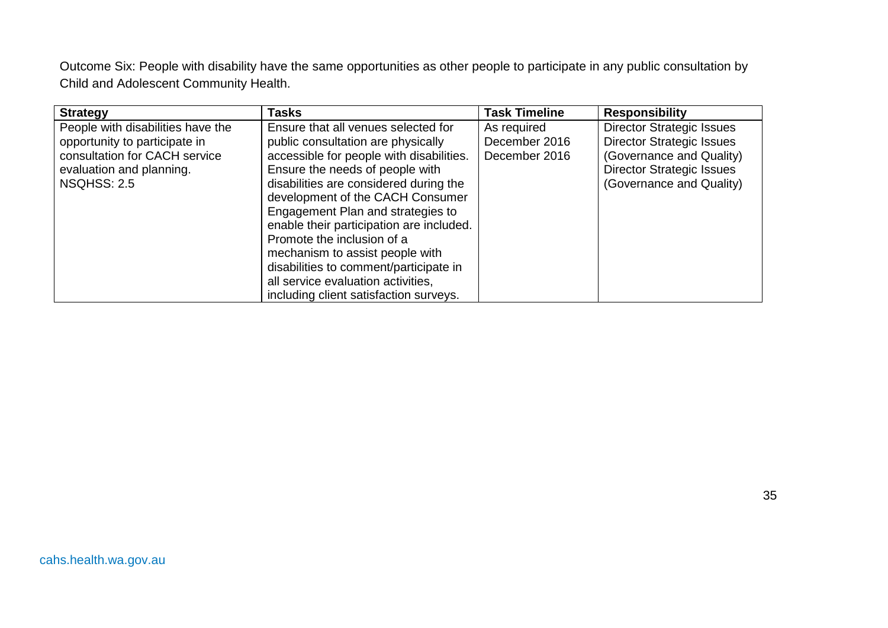Outcome Six: People with disability have the same opportunities as other people to participate in any public consultation by Child and Adolescent Community Health.

| <b>Strategy</b>                                                                                                                                       | Tasks                                                                                                                                                                                                                                                                                                                                                                                                                                                                    | <b>Task Timeline</b>                          | <b>Responsibility</b>                                                                                                                                            |
|-------------------------------------------------------------------------------------------------------------------------------------------------------|--------------------------------------------------------------------------------------------------------------------------------------------------------------------------------------------------------------------------------------------------------------------------------------------------------------------------------------------------------------------------------------------------------------------------------------------------------------------------|-----------------------------------------------|------------------------------------------------------------------------------------------------------------------------------------------------------------------|
| People with disabilities have the<br>opportunity to participate in<br>consultation for CACH service<br>evaluation and planning.<br><b>NSQHSS: 2.5</b> | Ensure that all venues selected for<br>public consultation are physically<br>accessible for people with disabilities.<br>Ensure the needs of people with<br>disabilities are considered during the<br>development of the CACH Consumer<br>Engagement Plan and strategies to<br>enable their participation are included.<br>Promote the inclusion of a<br>mechanism to assist people with<br>disabilities to comment/participate in<br>all service evaluation activities, | As required<br>December 2016<br>December 2016 | <b>Director Strategic Issues</b><br><b>Director Strategic Issues</b><br>(Governance and Quality)<br><b>Director Strategic Issues</b><br>(Governance and Quality) |
|                                                                                                                                                       | including client satisfaction surveys.                                                                                                                                                                                                                                                                                                                                                                                                                                   |                                               |                                                                                                                                                                  |